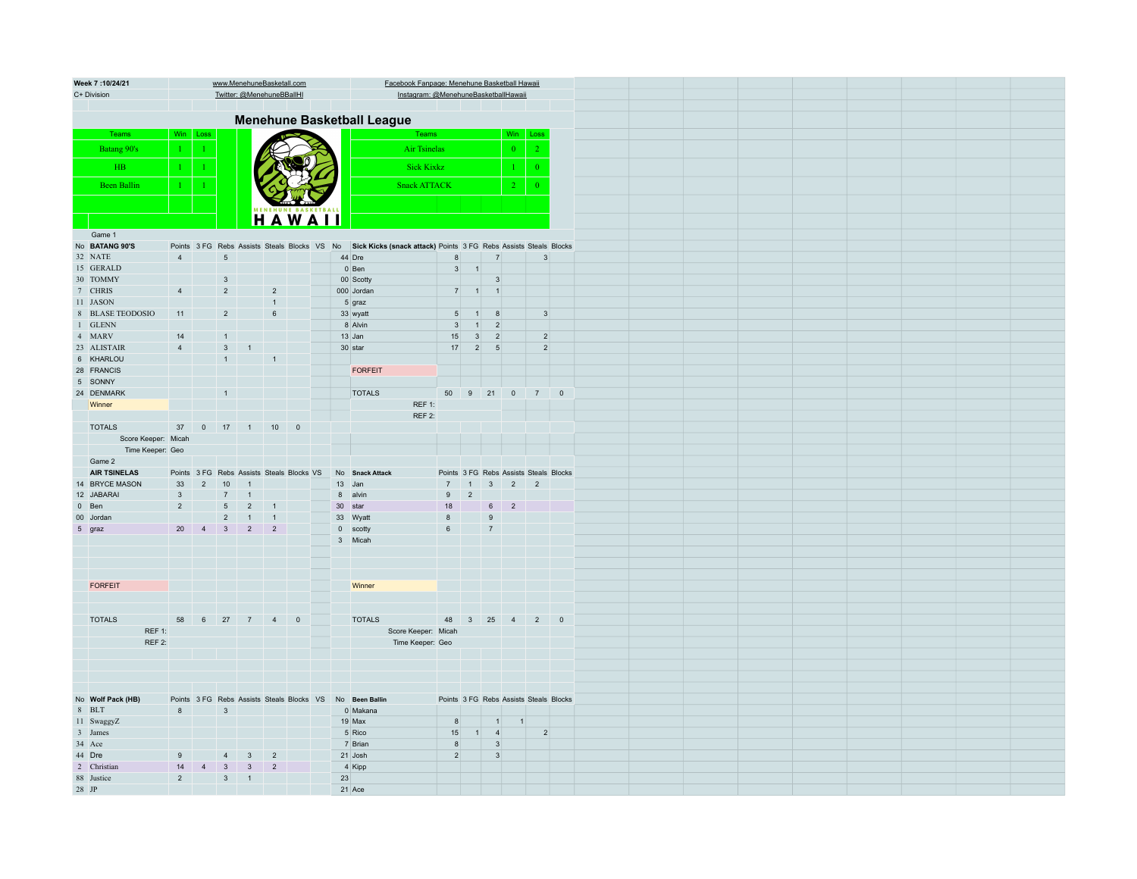|       | Week 7:10/24/21     |        | www.MenehuneBasketall.com<br>Facebook Fanpage: Menehune Basketball Hawaii<br>Twitter: @MenehuneBBallHI<br>Instagram: @MenehuneBasketballHawaii |                |                         |                |                |                                           |  |                                                          |                                                                                                               |                  |                                        |                |                |                         |                          |  |  |  |  |
|-------|---------------------|--------|------------------------------------------------------------------------------------------------------------------------------------------------|----------------|-------------------------|----------------|----------------|-------------------------------------------|--|----------------------------------------------------------|---------------------------------------------------------------------------------------------------------------|------------------|----------------------------------------|----------------|----------------|-------------------------|--------------------------|--|--|--|--|
|       | C+ Division         |        |                                                                                                                                                |                |                         |                |                |                                           |  |                                                          |                                                                                                               |                  |                                        |                |                |                         |                          |  |  |  |  |
|       |                     |        |                                                                                                                                                |                |                         |                |                |                                           |  |                                                          |                                                                                                               |                  |                                        |                |                |                         |                          |  |  |  |  |
|       |                     |        |                                                                                                                                                |                |                         |                |                |                                           |  |                                                          |                                                                                                               |                  |                                        |                |                |                         |                          |  |  |  |  |
|       |                     |        |                                                                                                                                                |                |                         |                |                |                                           |  | <b>Menehune Basketball League</b>                        |                                                                                                               |                  |                                        |                |                |                         |                          |  |  |  |  |
|       | Teams               |        |                                                                                                                                                | Win Loss       |                         |                |                |                                           |  |                                                          | Teams                                                                                                         |                  |                                        |                | Win Loss       |                         |                          |  |  |  |  |
|       | Batang 90's         |        | $1^{\circ}$                                                                                                                                    |                |                         |                |                |                                           |  |                                                          | <b>Air Tsinelas</b>                                                                                           |                  |                                        |                | $\overline{0}$ | $\overline{2}$          |                          |  |  |  |  |
|       |                     |        |                                                                                                                                                |                |                         |                |                |                                           |  |                                                          |                                                                                                               |                  |                                        |                |                |                         |                          |  |  |  |  |
|       | H <sub>B</sub>      |        | $1^\circ$                                                                                                                                      | $\mathbf{1}$   |                         |                |                |                                           |  |                                                          | Sick Kixkz                                                                                                    |                  |                                        |                | $1^\circ$      | $\overline{0}$          |                          |  |  |  |  |
|       |                     |        |                                                                                                                                                |                |                         |                |                |                                           |  |                                                          |                                                                                                               |                  |                                        |                |                |                         |                          |  |  |  |  |
|       | <b>Been Ballin</b>  |        | $1^\circ$                                                                                                                                      |                |                         |                |                |                                           |  |                                                          | <b>Snack ATTACK</b>                                                                                           |                  |                                        |                | $\overline{2}$ | $\overline{0}$          |                          |  |  |  |  |
|       |                     |        |                                                                                                                                                |                |                         |                |                |                                           |  |                                                          |                                                                                                               |                  |                                        |                |                |                         |                          |  |  |  |  |
|       |                     |        |                                                                                                                                                |                |                         |                |                |                                           |  |                                                          |                                                                                                               |                  |                                        |                |                |                         |                          |  |  |  |  |
|       |                     |        |                                                                                                                                                |                |                         | н              |                |                                           |  |                                                          |                                                                                                               |                  |                                        |                |                |                         |                          |  |  |  |  |
|       | Game 1              |        |                                                                                                                                                |                |                         |                |                |                                           |  |                                                          |                                                                                                               |                  |                                        |                |                |                         |                          |  |  |  |  |
|       | No BATANG 90'S      |        |                                                                                                                                                |                |                         |                |                |                                           |  |                                                          | Points 3 FG Rebs Assists Steals Blocks VS No Sick Kicks (snack attack) Points 3 FG Rebs Assists Steals Blocks |                  |                                        |                |                |                         |                          |  |  |  |  |
|       | 32 NATE             |        | $\overline{4}$                                                                                                                                 |                | $5\phantom{.0}$         |                |                |                                           |  | 44 Dre                                                   |                                                                                                               | 8 <sup>1</sup>   | $\vert$ 7                              |                |                | $\mathbf{3}$            |                          |  |  |  |  |
|       | 15 GERALD           |        |                                                                                                                                                |                |                         |                |                |                                           |  | 0 Ben                                                    |                                                                                                               | 3                | $\vert$ 1                              |                |                |                         |                          |  |  |  |  |
|       | 30 TOMMY            |        |                                                                                                                                                |                | $\mathbf{3}$            |                |                |                                           |  | 00 Scotty                                                |                                                                                                               |                  |                                        | 3              |                |                         |                          |  |  |  |  |
|       | 7 CHRIS             |        | $\overline{4}$                                                                                                                                 |                | $\overline{2}$          |                | $\overline{2}$ |                                           |  | 000 Jordan                                               |                                                                                                               |                  | $7$ 1                                  | $\vert$ 1      |                |                         |                          |  |  |  |  |
|       | 11 JASON            |        |                                                                                                                                                |                |                         |                |                |                                           |  | 5 graz                                                   |                                                                                                               |                  |                                        |                |                |                         |                          |  |  |  |  |
|       | 8 BLASE TEODOSIO    |        | 11                                                                                                                                             |                | $\overline{2}$          |                | 6              |                                           |  | 33 wyatt                                                 |                                                                                                               | 5 <sub>5</sub>   | 1                                      | 8              |                | $\overline{\mathbf{3}}$ |                          |  |  |  |  |
|       | 1 GLENN             |        |                                                                                                                                                |                |                         |                |                |                                           |  | 8 Alvin                                                  |                                                                                                               | 3                | 1                                      | $\overline{2}$ |                |                         |                          |  |  |  |  |
|       | 4 MARV              |        | 14                                                                                                                                             |                |                         |                |                |                                           |  | $13$ Jan                                                 |                                                                                                               | 15               | $\overline{\mathbf{3}}$                | $\overline{2}$ |                | $\overline{2}$          |                          |  |  |  |  |
|       | 23 ALISTAIR         |        | $\overline{a}$                                                                                                                                 |                | $\mathbf{3}$            | $\overline{1}$ |                |                                           |  | 30 star                                                  |                                                                                                               | 17               | $2 \mid 5$                             |                |                | $\overline{2}$          |                          |  |  |  |  |
|       | 6 KHARLOU           |        |                                                                                                                                                |                |                         |                |                |                                           |  |                                                          |                                                                                                               |                  |                                        |                |                |                         |                          |  |  |  |  |
|       |                     |        |                                                                                                                                                |                |                         |                |                |                                           |  |                                                          |                                                                                                               |                  |                                        |                |                |                         |                          |  |  |  |  |
|       | 28 FRANCIS          |        |                                                                                                                                                |                |                         |                |                |                                           |  | <b>FORFEIT</b>                                           |                                                                                                               |                  |                                        |                |                |                         |                          |  |  |  |  |
|       | 5 SONNY             |        |                                                                                                                                                |                |                         |                |                |                                           |  |                                                          |                                                                                                               |                  |                                        |                |                |                         |                          |  |  |  |  |
|       | 24 DENMARK          |        |                                                                                                                                                |                | $\overline{1}$          |                |                |                                           |  | <b>TOTALS</b>                                            |                                                                                                               |                  | 50 9 21 0 7 0                          |                |                |                         |                          |  |  |  |  |
|       | Winner              |        |                                                                                                                                                |                |                         |                |                |                                           |  |                                                          | REF 1:                                                                                                        |                  |                                        |                |                |                         |                          |  |  |  |  |
|       |                     |        |                                                                                                                                                |                |                         |                |                |                                           |  |                                                          | REF 2:                                                                                                        |                  |                                        |                |                |                         |                          |  |  |  |  |
|       | <b>TOTALS</b>       |        | 37                                                                                                                                             | $0$ 17         |                         | $1 \t10 \t0$   |                |                                           |  |                                                          |                                                                                                               |                  |                                        |                |                |                         |                          |  |  |  |  |
|       | Score Keeper: Micah |        |                                                                                                                                                |                |                         |                |                |                                           |  |                                                          |                                                                                                               |                  |                                        |                |                |                         |                          |  |  |  |  |
|       | Time Keeper: Geo    |        |                                                                                                                                                |                |                         |                |                |                                           |  |                                                          |                                                                                                               |                  |                                        |                |                |                         |                          |  |  |  |  |
|       | Game 2              |        |                                                                                                                                                |                |                         |                |                |                                           |  |                                                          |                                                                                                               |                  |                                        |                |                |                         |                          |  |  |  |  |
|       | <b>AIR TSINELAS</b> |        |                                                                                                                                                |                |                         |                |                | Points 3 FG Rebs Assists Steals Blocks VS |  | No Snack Attack                                          |                                                                                                               |                  | Points 3 FG Rebs Assists Steals Blocks |                |                |                         |                          |  |  |  |  |
|       | 14 BRYCE MASON      |        | 33                                                                                                                                             | $\overline{2}$ | 10                      | $\overline{1}$ |                |                                           |  | 13 Jan                                                   | $\overline{7}$                                                                                                |                  | $\overline{1}$                         | $\mathbf{3}$   | $2 \quad 2$    |                         |                          |  |  |  |  |
|       | 12 JABARAI          |        | $\mathbf{3}$                                                                                                                                   |                |                         |                |                |                                           |  | 8 alvin                                                  | 9                                                                                                             |                  | $\overline{2}$                         |                |                |                         |                          |  |  |  |  |
|       | 0 Ben               |        | $\mathcal{P}$                                                                                                                                  |                | $5\overline{5}$         | $\overline{2}$ |                |                                           |  | 30 star                                                  | 18                                                                                                            |                  |                                        | 6              | $\overline{2}$ |                         |                          |  |  |  |  |
|       | 00 Jordan           |        |                                                                                                                                                |                | $\overline{2}$          |                |                |                                           |  | 33 Wyatt                                                 | $\mathbf{g}$                                                                                                  |                  |                                        | 9              |                |                         |                          |  |  |  |  |
|       | 5 graz              |        | 20                                                                                                                                             | $\overline{4}$ | $\mathbf{3}$            | $\overline{2}$ | $\overline{2}$ |                                           |  | 0 scotty                                                 |                                                                                                               |                  |                                        |                |                |                         |                          |  |  |  |  |
|       |                     |        |                                                                                                                                                |                |                         |                |                |                                           |  | 3 Micah                                                  |                                                                                                               |                  |                                        |                |                |                         |                          |  |  |  |  |
|       |                     |        |                                                                                                                                                |                |                         |                |                |                                           |  |                                                          |                                                                                                               |                  |                                        |                |                |                         |                          |  |  |  |  |
|       |                     |        |                                                                                                                                                |                |                         |                |                |                                           |  |                                                          |                                                                                                               |                  |                                        |                |                |                         |                          |  |  |  |  |
|       |                     |        |                                                                                                                                                |                |                         |                |                |                                           |  |                                                          |                                                                                                               |                  |                                        |                |                |                         |                          |  |  |  |  |
|       | <b>FORFEIT</b>      |        |                                                                                                                                                |                |                         |                |                |                                           |  | Winner                                                   |                                                                                                               |                  |                                        |                |                |                         |                          |  |  |  |  |
|       |                     |        |                                                                                                                                                |                |                         |                |                |                                           |  |                                                          |                                                                                                               |                  |                                        |                |                |                         |                          |  |  |  |  |
|       |                     |        |                                                                                                                                                |                |                         |                |                |                                           |  |                                                          |                                                                                                               |                  |                                        |                |                |                         |                          |  |  |  |  |
|       | <b>TOTALS</b>       |        |                                                                                                                                                |                | 27                      |                | $\overline{4}$ | $\mathsf 0$                               |  | <b>TOTALS</b>                                            | 48                                                                                                            |                  | $\mathbf{3}$                           | 25             | $\overline{4}$ | $\overline{2}$          | $\overline{\phantom{0}}$ |  |  |  |  |
|       |                     | REF 1: |                                                                                                                                                |                |                         |                |                |                                           |  |                                                          | Score Keeper: Micah                                                                                           |                  |                                        |                |                |                         |                          |  |  |  |  |
|       |                     | REF 2: |                                                                                                                                                |                |                         |                |                |                                           |  |                                                          | Time Keeper: Geo                                                                                              |                  |                                        |                |                |                         |                          |  |  |  |  |
|       |                     |        |                                                                                                                                                |                |                         |                |                |                                           |  |                                                          |                                                                                                               |                  |                                        |                |                |                         |                          |  |  |  |  |
|       |                     |        |                                                                                                                                                |                |                         |                |                |                                           |  |                                                          |                                                                                                               |                  |                                        |                |                |                         |                          |  |  |  |  |
|       |                     |        |                                                                                                                                                |                |                         |                |                |                                           |  |                                                          |                                                                                                               |                  |                                        |                |                |                         |                          |  |  |  |  |
|       |                     |        |                                                                                                                                                |                |                         |                |                |                                           |  |                                                          |                                                                                                               |                  |                                        |                |                |                         |                          |  |  |  |  |
|       | No Wolf Pack (HB)   |        |                                                                                                                                                |                |                         |                |                |                                           |  | Points 3 FG Rebs Assists Steals Blocks VS No Been Ballin |                                                                                                               |                  | Points 3 FG Rebs Assists Steals Blocks |                |                |                         |                          |  |  |  |  |
|       | 8 BLT               |        | 8                                                                                                                                              |                | $\overline{\mathbf{3}}$ |                |                |                                           |  | 0 Makana                                                 |                                                                                                               |                  |                                        |                |                |                         |                          |  |  |  |  |
|       | 11 SwaggyZ          |        |                                                                                                                                                |                |                         |                |                |                                           |  | 19 Max                                                   |                                                                                                               | 8                |                                        | 1              | $\vert$ 1      |                         |                          |  |  |  |  |
|       | 3 James             |        |                                                                                                                                                |                |                         |                |                |                                           |  | 5 Rico                                                   |                                                                                                               | 15               | $1 \quad 4$                            |                |                | $\overline{2}$          |                          |  |  |  |  |
|       | 34 Ace              |        |                                                                                                                                                |                |                         |                |                |                                           |  | 7 Brian                                                  |                                                                                                               | $\boldsymbol{8}$ |                                        | 3 <sup>1</sup> |                |                         |                          |  |  |  |  |
|       | 44 Dre              |        | 9                                                                                                                                              |                | $\overline{4}$          | 3              | $\overline{2}$ |                                           |  | 21 Josh                                                  |                                                                                                               | $\overline{2}$   |                                        | 3 <sup>1</sup> |                |                         |                          |  |  |  |  |
|       | 2 Christian         |        | 14                                                                                                                                             |                |                         |                |                |                                           |  | 4 Kipp                                                   |                                                                                                               |                  |                                        |                |                |                         |                          |  |  |  |  |
|       | 88 Justice          |        | $\overline{2}$                                                                                                                                 |                | $\mathbf{3}$            | $\overline{1}$ |                |                                           |  | 23                                                       |                                                                                                               |                  |                                        |                |                |                         |                          |  |  |  |  |
| 28 JP |                     |        |                                                                                                                                                |                |                         |                |                |                                           |  | 21 Ace                                                   |                                                                                                               |                  |                                        |                |                |                         |                          |  |  |  |  |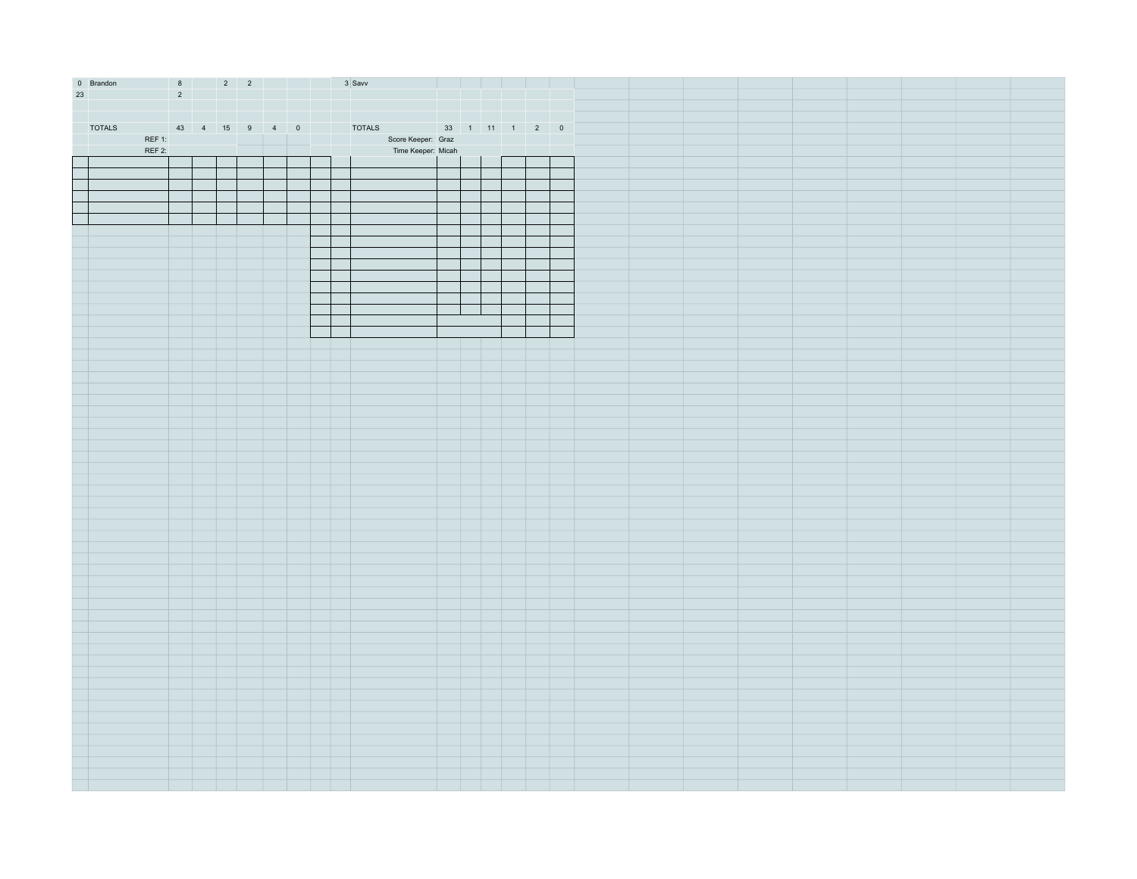|                          |  |  |  |                                     |  | 0 Brandon 8 2 2 3 Savv 3 Savv 3 1 2 3 Million 1 2 3 Million 1 2 3 Million 1 2 3 Million 1 2 3 Million 1 2 3 Mi |  |  |  |  |  |  |  |  |
|--------------------------|--|--|--|-------------------------------------|--|----------------------------------------------------------------------------------------------------------------|--|--|--|--|--|--|--|--|
|                          |  |  |  | the contract of the contract of the |  |                                                                                                                |  |  |  |  |  |  |  |  |
|                          |  |  |  |                                     |  |                                                                                                                |  |  |  |  |  |  |  |  |
|                          |  |  |  |                                     |  |                                                                                                                |  |  |  |  |  |  |  |  |
|                          |  |  |  |                                     |  |                                                                                                                |  |  |  |  |  |  |  |  |
|                          |  |  |  |                                     |  | TOTALS 43 4 15 9 4 0 TOTALS 33 1 11 1 2 0<br>REF 1:<br>REF 2: Time Keeper: Graz Time Keeper: Micah             |  |  |  |  |  |  |  |  |
|                          |  |  |  |                                     |  |                                                                                                                |  |  |  |  |  |  |  |  |
|                          |  |  |  |                                     |  |                                                                                                                |  |  |  |  |  |  |  |  |
| $\overline{\phantom{0}}$ |  |  |  |                                     |  |                                                                                                                |  |  |  |  |  |  |  |  |
|                          |  |  |  |                                     |  |                                                                                                                |  |  |  |  |  |  |  |  |
|                          |  |  |  |                                     |  |                                                                                                                |  |  |  |  |  |  |  |  |
|                          |  |  |  |                                     |  |                                                                                                                |  |  |  |  |  |  |  |  |
|                          |  |  |  |                                     |  |                                                                                                                |  |  |  |  |  |  |  |  |
|                          |  |  |  |                                     |  |                                                                                                                |  |  |  |  |  |  |  |  |
|                          |  |  |  |                                     |  |                                                                                                                |  |  |  |  |  |  |  |  |
|                          |  |  |  |                                     |  |                                                                                                                |  |  |  |  |  |  |  |  |
|                          |  |  |  |                                     |  |                                                                                                                |  |  |  |  |  |  |  |  |
|                          |  |  |  |                                     |  |                                                                                                                |  |  |  |  |  |  |  |  |
|                          |  |  |  |                                     |  |                                                                                                                |  |  |  |  |  |  |  |  |
|                          |  |  |  |                                     |  |                                                                                                                |  |  |  |  |  |  |  |  |
|                          |  |  |  |                                     |  |                                                                                                                |  |  |  |  |  |  |  |  |
|                          |  |  |  |                                     |  |                                                                                                                |  |  |  |  |  |  |  |  |
|                          |  |  |  |                                     |  |                                                                                                                |  |  |  |  |  |  |  |  |
|                          |  |  |  |                                     |  |                                                                                                                |  |  |  |  |  |  |  |  |
|                          |  |  |  |                                     |  |                                                                                                                |  |  |  |  |  |  |  |  |
|                          |  |  |  |                                     |  |                                                                                                                |  |  |  |  |  |  |  |  |
|                          |  |  |  |                                     |  |                                                                                                                |  |  |  |  |  |  |  |  |
|                          |  |  |  |                                     |  |                                                                                                                |  |  |  |  |  |  |  |  |
|                          |  |  |  |                                     |  |                                                                                                                |  |  |  |  |  |  |  |  |
|                          |  |  |  |                                     |  |                                                                                                                |  |  |  |  |  |  |  |  |
|                          |  |  |  |                                     |  |                                                                                                                |  |  |  |  |  |  |  |  |
|                          |  |  |  |                                     |  |                                                                                                                |  |  |  |  |  |  |  |  |
|                          |  |  |  |                                     |  |                                                                                                                |  |  |  |  |  |  |  |  |
|                          |  |  |  |                                     |  |                                                                                                                |  |  |  |  |  |  |  |  |
|                          |  |  |  |                                     |  |                                                                                                                |  |  |  |  |  |  |  |  |
|                          |  |  |  |                                     |  |                                                                                                                |  |  |  |  |  |  |  |  |
|                          |  |  |  |                                     |  |                                                                                                                |  |  |  |  |  |  |  |  |
|                          |  |  |  |                                     |  |                                                                                                                |  |  |  |  |  |  |  |  |
|                          |  |  |  |                                     |  |                                                                                                                |  |  |  |  |  |  |  |  |
|                          |  |  |  |                                     |  |                                                                                                                |  |  |  |  |  |  |  |  |
|                          |  |  |  |                                     |  |                                                                                                                |  |  |  |  |  |  |  |  |
|                          |  |  |  |                                     |  |                                                                                                                |  |  |  |  |  |  |  |  |
|                          |  |  |  |                                     |  |                                                                                                                |  |  |  |  |  |  |  |  |
|                          |  |  |  |                                     |  |                                                                                                                |  |  |  |  |  |  |  |  |
|                          |  |  |  |                                     |  |                                                                                                                |  |  |  |  |  |  |  |  |
|                          |  |  |  |                                     |  |                                                                                                                |  |  |  |  |  |  |  |  |
|                          |  |  |  |                                     |  |                                                                                                                |  |  |  |  |  |  |  |  |
|                          |  |  |  |                                     |  |                                                                                                                |  |  |  |  |  |  |  |  |
|                          |  |  |  |                                     |  |                                                                                                                |  |  |  |  |  |  |  |  |
|                          |  |  |  |                                     |  |                                                                                                                |  |  |  |  |  |  |  |  |
|                          |  |  |  |                                     |  |                                                                                                                |  |  |  |  |  |  |  |  |
|                          |  |  |  |                                     |  |                                                                                                                |  |  |  |  |  |  |  |  |
|                          |  |  |  |                                     |  |                                                                                                                |  |  |  |  |  |  |  |  |
|                          |  |  |  |                                     |  |                                                                                                                |  |  |  |  |  |  |  |  |
|                          |  |  |  |                                     |  |                                                                                                                |  |  |  |  |  |  |  |  |
|                          |  |  |  |                                     |  |                                                                                                                |  |  |  |  |  |  |  |  |
|                          |  |  |  |                                     |  |                                                                                                                |  |  |  |  |  |  |  |  |
|                          |  |  |  |                                     |  |                                                                                                                |  |  |  |  |  |  |  |  |
|                          |  |  |  |                                     |  |                                                                                                                |  |  |  |  |  |  |  |  |
|                          |  |  |  |                                     |  |                                                                                                                |  |  |  |  |  |  |  |  |
|                          |  |  |  |                                     |  |                                                                                                                |  |  |  |  |  |  |  |  |
|                          |  |  |  |                                     |  |                                                                                                                |  |  |  |  |  |  |  |  |
|                          |  |  |  |                                     |  |                                                                                                                |  |  |  |  |  |  |  |  |
|                          |  |  |  |                                     |  |                                                                                                                |  |  |  |  |  |  |  |  |
|                          |  |  |  |                                     |  |                                                                                                                |  |  |  |  |  |  |  |  |
|                          |  |  |  |                                     |  |                                                                                                                |  |  |  |  |  |  |  |  |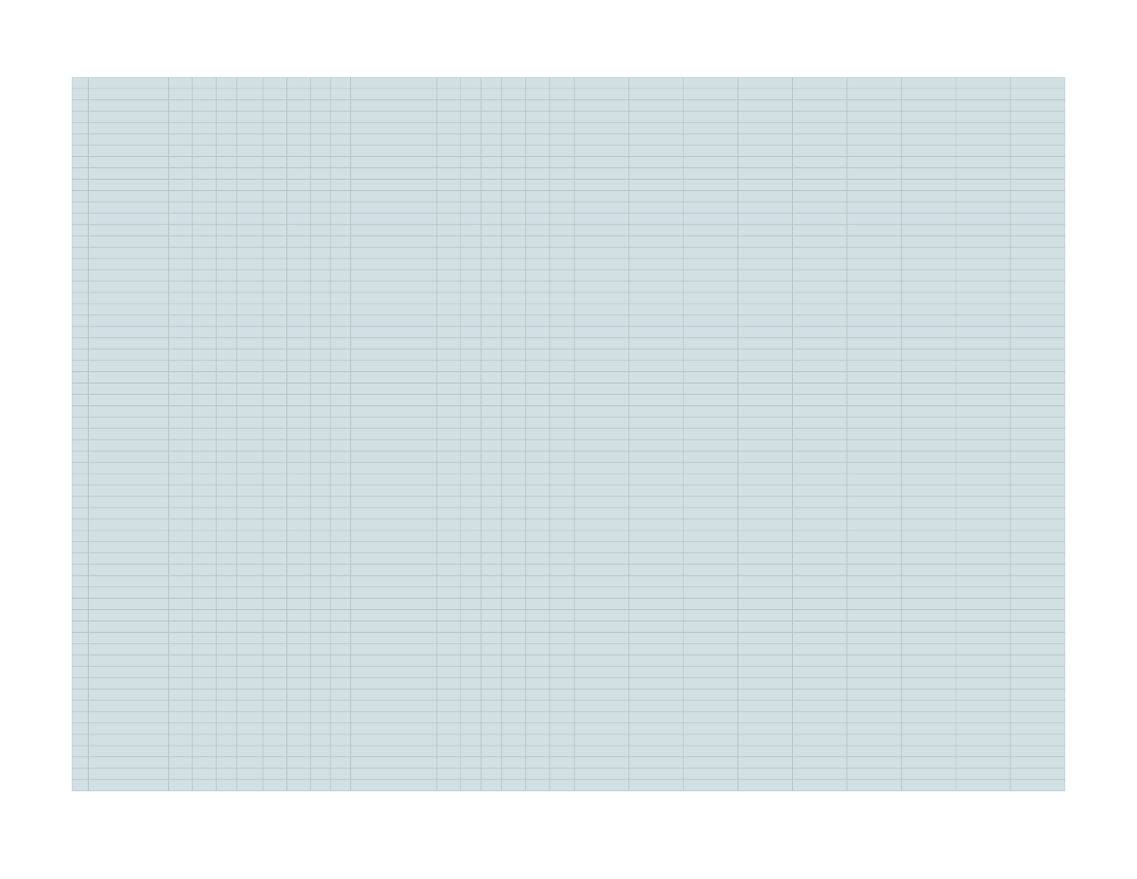|  | an di sebagai kecamatan dari Sebagai Kecamatan Sebagai Kecamatan Sebagai Kecamatan Sebagai Kecamatan Sebagai |                 |  |                         | ————————<br>————————                                                                                                 |  |  |  |  |  |
|--|--------------------------------------------------------------------------------------------------------------|-----------------|--|-------------------------|----------------------------------------------------------------------------------------------------------------------|--|--|--|--|--|
|  |                                                                                                              |                 |  |                         |                                                                                                                      |  |  |  |  |  |
|  |                                                                                                              |                 |  |                         |                                                                                                                      |  |  |  |  |  |
|  |                                                                                                              |                 |  |                         |                                                                                                                      |  |  |  |  |  |
|  |                                                                                                              |                 |  |                         |                                                                                                                      |  |  |  |  |  |
|  |                                                                                                              |                 |  |                         |                                                                                                                      |  |  |  |  |  |
|  |                                                                                                              |                 |  |                         |                                                                                                                      |  |  |  |  |  |
|  |                                                                                                              |                 |  |                         |                                                                                                                      |  |  |  |  |  |
|  |                                                                                                              |                 |  |                         |                                                                                                                      |  |  |  |  |  |
|  | <u> 1955 - Jan Barbara III, ma</u>                                                                           |                 |  |                         |                                                                                                                      |  |  |  |  |  |
|  | ------------                                                                                                 |                 |  |                         |                                                                                                                      |  |  |  |  |  |
|  |                                                                                                              |                 |  |                         |                                                                                                                      |  |  |  |  |  |
|  |                                                                                                              |                 |  |                         |                                                                                                                      |  |  |  |  |  |
|  |                                                                                                              |                 |  |                         |                                                                                                                      |  |  |  |  |  |
|  |                                                                                                              |                 |  |                         |                                                                                                                      |  |  |  |  |  |
|  |                                                                                                              |                 |  |                         |                                                                                                                      |  |  |  |  |  |
|  |                                                                                                              |                 |  |                         |                                                                                                                      |  |  |  |  |  |
|  |                                                                                                              |                 |  |                         |                                                                                                                      |  |  |  |  |  |
|  |                                                                                                              |                 |  |                         |                                                                                                                      |  |  |  |  |  |
|  |                                                                                                              |                 |  |                         |                                                                                                                      |  |  |  |  |  |
|  |                                                                                                              |                 |  |                         |                                                                                                                      |  |  |  |  |  |
|  |                                                                                                              |                 |  |                         |                                                                                                                      |  |  |  |  |  |
|  |                                                                                                              |                 |  |                         |                                                                                                                      |  |  |  |  |  |
|  |                                                                                                              |                 |  |                         |                                                                                                                      |  |  |  |  |  |
|  |                                                                                                              |                 |  |                         |                                                                                                                      |  |  |  |  |  |
|  |                                                                                                              |                 |  |                         |                                                                                                                      |  |  |  |  |  |
|  |                                                                                                              |                 |  |                         |                                                                                                                      |  |  |  |  |  |
|  | <u> 1999 – John Harry</u>                                                                                    |                 |  |                         |                                                                                                                      |  |  |  |  |  |
|  |                                                                                                              |                 |  |                         |                                                                                                                      |  |  |  |  |  |
|  |                                                                                                              |                 |  |                         |                                                                                                                      |  |  |  |  |  |
|  |                                                                                                              |                 |  |                         |                                                                                                                      |  |  |  |  |  |
|  |                                                                                                              |                 |  |                         |                                                                                                                      |  |  |  |  |  |
|  |                                                                                                              |                 |  |                         |                                                                                                                      |  |  |  |  |  |
|  |                                                                                                              |                 |  | <u> a serie de la p</u> |                                                                                                                      |  |  |  |  |  |
|  |                                                                                                              |                 |  |                         |                                                                                                                      |  |  |  |  |  |
|  |                                                                                                              |                 |  |                         |                                                                                                                      |  |  |  |  |  |
|  |                                                                                                              |                 |  |                         |                                                                                                                      |  |  |  |  |  |
|  |                                                                                                              |                 |  |                         |                                                                                                                      |  |  |  |  |  |
|  | <u> Elektroni</u>                                                                                            |                 |  |                         |                                                                                                                      |  |  |  |  |  |
|  |                                                                                                              |                 |  |                         |                                                                                                                      |  |  |  |  |  |
|  |                                                                                                              |                 |  |                         |                                                                                                                      |  |  |  |  |  |
|  |                                                                                                              |                 |  |                         |                                                                                                                      |  |  |  |  |  |
|  |                                                                                                              |                 |  |                         |                                                                                                                      |  |  |  |  |  |
|  |                                                                                                              |                 |  |                         |                                                                                                                      |  |  |  |  |  |
|  |                                                                                                              |                 |  |                         |                                                                                                                      |  |  |  |  |  |
|  |                                                                                                              |                 |  |                         |                                                                                                                      |  |  |  |  |  |
|  |                                                                                                              |                 |  |                         |                                                                                                                      |  |  |  |  |  |
|  |                                                                                                              |                 |  |                         |                                                                                                                      |  |  |  |  |  |
|  |                                                                                                              |                 |  |                         |                                                                                                                      |  |  |  |  |  |
|  |                                                                                                              |                 |  |                         |                                                                                                                      |  |  |  |  |  |
|  |                                                                                                              |                 |  |                         | ar de la segunda                                                                                                     |  |  |  |  |  |
|  |                                                                                                              |                 |  |                         |                                                                                                                      |  |  |  |  |  |
|  |                                                                                                              |                 |  |                         |                                                                                                                      |  |  |  |  |  |
|  |                                                                                                              |                 |  |                         |                                                                                                                      |  |  |  |  |  |
|  |                                                                                                              |                 |  |                         | <u> La Carlo de la Ca</u>                                                                                            |  |  |  |  |  |
|  |                                                                                                              |                 |  |                         |                                                                                                                      |  |  |  |  |  |
|  | <del>, , , , , , , , , , , , , ,</del>                                                                       |                 |  |                         | ____________________                                                                                                 |  |  |  |  |  |
|  |                                                                                                              |                 |  |                         |                                                                                                                      |  |  |  |  |  |
|  |                                                                                                              | <u>talah da</u> |  |                         |                                                                                                                      |  |  |  |  |  |
|  |                                                                                                              |                 |  |                         | <u>e de la partida de la partida de la partida de la partida de la partida de la partida de la partida de la par</u> |  |  |  |  |  |
|  |                                                                                                              |                 |  |                         |                                                                                                                      |  |  |  |  |  |
|  |                                                                                                              |                 |  |                         |                                                                                                                      |  |  |  |  |  |
|  |                                                                                                              |                 |  |                         |                                                                                                                      |  |  |  |  |  |
|  |                                                                                                              |                 |  |                         |                                                                                                                      |  |  |  |  |  |
|  |                                                                                                              |                 |  |                         |                                                                                                                      |  |  |  |  |  |
|  |                                                                                                              |                 |  |                         |                                                                                                                      |  |  |  |  |  |
|  |                                                                                                              |                 |  |                         |                                                                                                                      |  |  |  |  |  |
|  |                                                                                                              |                 |  |                         |                                                                                                                      |  |  |  |  |  |
|  |                                                                                                              |                 |  |                         |                                                                                                                      |  |  |  |  |  |
|  |                                                                                                              |                 |  |                         |                                                                                                                      |  |  |  |  |  |
|  |                                                                                                              |                 |  |                         |                                                                                                                      |  |  |  |  |  |
|  |                                                                                                              |                 |  |                         |                                                                                                                      |  |  |  |  |  |
|  |                                                                                                              |                 |  |                         |                                                                                                                      |  |  |  |  |  |
|  |                                                                                                              |                 |  |                         |                                                                                                                      |  |  |  |  |  |
|  |                                                                                                              |                 |  |                         |                                                                                                                      |  |  |  |  |  |
|  |                                                                                                              |                 |  |                         |                                                                                                                      |  |  |  |  |  |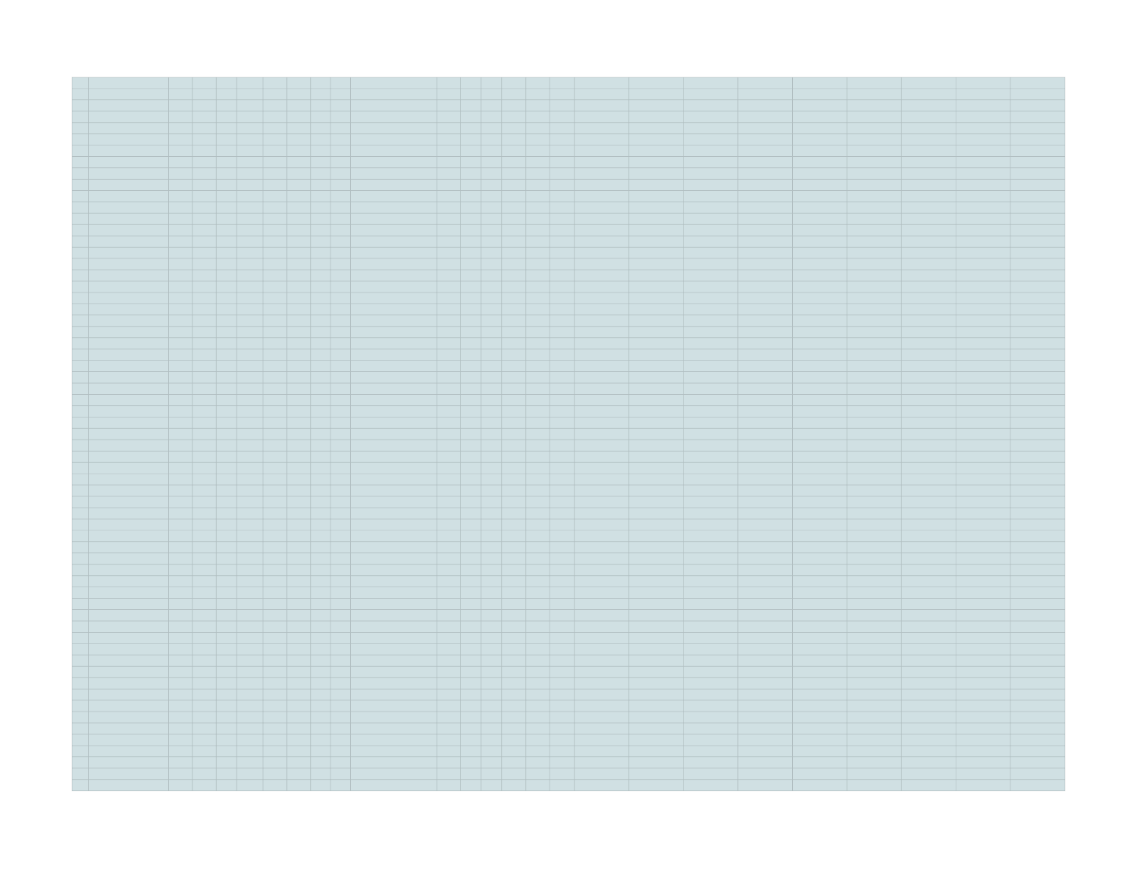|  | an di sebagai kecamatan dari Sebagai Kecamatan Sebagai Kecamatan Sebagai Kecamatan Sebagai Kecamatan Sebagai |                 |  |                         | ————————<br>————————                                                                                                 |  |  |  |  |  |
|--|--------------------------------------------------------------------------------------------------------------|-----------------|--|-------------------------|----------------------------------------------------------------------------------------------------------------------|--|--|--|--|--|
|  |                                                                                                              |                 |  |                         |                                                                                                                      |  |  |  |  |  |
|  |                                                                                                              |                 |  |                         |                                                                                                                      |  |  |  |  |  |
|  |                                                                                                              |                 |  |                         |                                                                                                                      |  |  |  |  |  |
|  |                                                                                                              |                 |  |                         |                                                                                                                      |  |  |  |  |  |
|  |                                                                                                              |                 |  |                         |                                                                                                                      |  |  |  |  |  |
|  |                                                                                                              |                 |  |                         |                                                                                                                      |  |  |  |  |  |
|  |                                                                                                              |                 |  |                         |                                                                                                                      |  |  |  |  |  |
|  |                                                                                                              |                 |  |                         |                                                                                                                      |  |  |  |  |  |
|  | <u> 1955 - Jan Barbara III, ma</u>                                                                           |                 |  |                         |                                                                                                                      |  |  |  |  |  |
|  | ------------                                                                                                 |                 |  |                         |                                                                                                                      |  |  |  |  |  |
|  |                                                                                                              |                 |  |                         |                                                                                                                      |  |  |  |  |  |
|  |                                                                                                              |                 |  |                         |                                                                                                                      |  |  |  |  |  |
|  |                                                                                                              |                 |  |                         |                                                                                                                      |  |  |  |  |  |
|  |                                                                                                              |                 |  |                         |                                                                                                                      |  |  |  |  |  |
|  |                                                                                                              |                 |  |                         |                                                                                                                      |  |  |  |  |  |
|  |                                                                                                              |                 |  |                         |                                                                                                                      |  |  |  |  |  |
|  |                                                                                                              |                 |  |                         |                                                                                                                      |  |  |  |  |  |
|  |                                                                                                              |                 |  |                         |                                                                                                                      |  |  |  |  |  |
|  |                                                                                                              |                 |  |                         |                                                                                                                      |  |  |  |  |  |
|  |                                                                                                              |                 |  |                         |                                                                                                                      |  |  |  |  |  |
|  |                                                                                                              |                 |  |                         |                                                                                                                      |  |  |  |  |  |
|  |                                                                                                              |                 |  |                         |                                                                                                                      |  |  |  |  |  |
|  |                                                                                                              |                 |  |                         |                                                                                                                      |  |  |  |  |  |
|  |                                                                                                              |                 |  |                         |                                                                                                                      |  |  |  |  |  |
|  |                                                                                                              |                 |  |                         |                                                                                                                      |  |  |  |  |  |
|  |                                                                                                              |                 |  |                         |                                                                                                                      |  |  |  |  |  |
|  | <u> 1999 – John Harry</u>                                                                                    |                 |  |                         |                                                                                                                      |  |  |  |  |  |
|  |                                                                                                              |                 |  |                         |                                                                                                                      |  |  |  |  |  |
|  |                                                                                                              |                 |  |                         |                                                                                                                      |  |  |  |  |  |
|  |                                                                                                              |                 |  |                         |                                                                                                                      |  |  |  |  |  |
|  |                                                                                                              |                 |  |                         |                                                                                                                      |  |  |  |  |  |
|  |                                                                                                              |                 |  |                         |                                                                                                                      |  |  |  |  |  |
|  |                                                                                                              |                 |  | <u> a serie de la p</u> |                                                                                                                      |  |  |  |  |  |
|  |                                                                                                              |                 |  |                         |                                                                                                                      |  |  |  |  |  |
|  |                                                                                                              |                 |  |                         |                                                                                                                      |  |  |  |  |  |
|  |                                                                                                              |                 |  |                         |                                                                                                                      |  |  |  |  |  |
|  |                                                                                                              |                 |  |                         |                                                                                                                      |  |  |  |  |  |
|  | <u> Elektroni</u>                                                                                            |                 |  |                         |                                                                                                                      |  |  |  |  |  |
|  |                                                                                                              |                 |  |                         |                                                                                                                      |  |  |  |  |  |
|  |                                                                                                              |                 |  |                         |                                                                                                                      |  |  |  |  |  |
|  |                                                                                                              |                 |  |                         |                                                                                                                      |  |  |  |  |  |
|  |                                                                                                              |                 |  |                         |                                                                                                                      |  |  |  |  |  |
|  |                                                                                                              |                 |  |                         |                                                                                                                      |  |  |  |  |  |
|  |                                                                                                              |                 |  |                         |                                                                                                                      |  |  |  |  |  |
|  |                                                                                                              |                 |  |                         |                                                                                                                      |  |  |  |  |  |
|  |                                                                                                              |                 |  |                         |                                                                                                                      |  |  |  |  |  |
|  |                                                                                                              |                 |  |                         |                                                                                                                      |  |  |  |  |  |
|  |                                                                                                              |                 |  |                         |                                                                                                                      |  |  |  |  |  |
|  |                                                                                                              |                 |  |                         |                                                                                                                      |  |  |  |  |  |
|  |                                                                                                              |                 |  |                         | ar de la segunda                                                                                                     |  |  |  |  |  |
|  |                                                                                                              |                 |  |                         |                                                                                                                      |  |  |  |  |  |
|  |                                                                                                              |                 |  |                         |                                                                                                                      |  |  |  |  |  |
|  |                                                                                                              |                 |  |                         |                                                                                                                      |  |  |  |  |  |
|  |                                                                                                              |                 |  |                         | <u> La Carlo de la Ca</u>                                                                                            |  |  |  |  |  |
|  |                                                                                                              |                 |  |                         |                                                                                                                      |  |  |  |  |  |
|  | <del>, , , , , , , , , , , , , ,</del>                                                                       |                 |  |                         | ____________________                                                                                                 |  |  |  |  |  |
|  |                                                                                                              |                 |  |                         |                                                                                                                      |  |  |  |  |  |
|  |                                                                                                              | <u>talah da</u> |  |                         |                                                                                                                      |  |  |  |  |  |
|  |                                                                                                              |                 |  |                         | <u>e de la partida de la partida de la partida de la partida de la partida de la partida de la partida de la par</u> |  |  |  |  |  |
|  |                                                                                                              |                 |  |                         |                                                                                                                      |  |  |  |  |  |
|  |                                                                                                              |                 |  |                         |                                                                                                                      |  |  |  |  |  |
|  |                                                                                                              |                 |  |                         |                                                                                                                      |  |  |  |  |  |
|  |                                                                                                              |                 |  |                         |                                                                                                                      |  |  |  |  |  |
|  |                                                                                                              |                 |  |                         |                                                                                                                      |  |  |  |  |  |
|  |                                                                                                              |                 |  |                         |                                                                                                                      |  |  |  |  |  |
|  |                                                                                                              |                 |  |                         |                                                                                                                      |  |  |  |  |  |
|  |                                                                                                              |                 |  |                         |                                                                                                                      |  |  |  |  |  |
|  |                                                                                                              |                 |  |                         |                                                                                                                      |  |  |  |  |  |
|  |                                                                                                              |                 |  |                         |                                                                                                                      |  |  |  |  |  |
|  |                                                                                                              |                 |  |                         |                                                                                                                      |  |  |  |  |  |
|  |                                                                                                              |                 |  |                         |                                                                                                                      |  |  |  |  |  |
|  |                                                                                                              |                 |  |                         |                                                                                                                      |  |  |  |  |  |
|  |                                                                                                              |                 |  |                         |                                                                                                                      |  |  |  |  |  |
|  |                                                                                                              |                 |  |                         |                                                                                                                      |  |  |  |  |  |
|  |                                                                                                              |                 |  |                         |                                                                                                                      |  |  |  |  |  |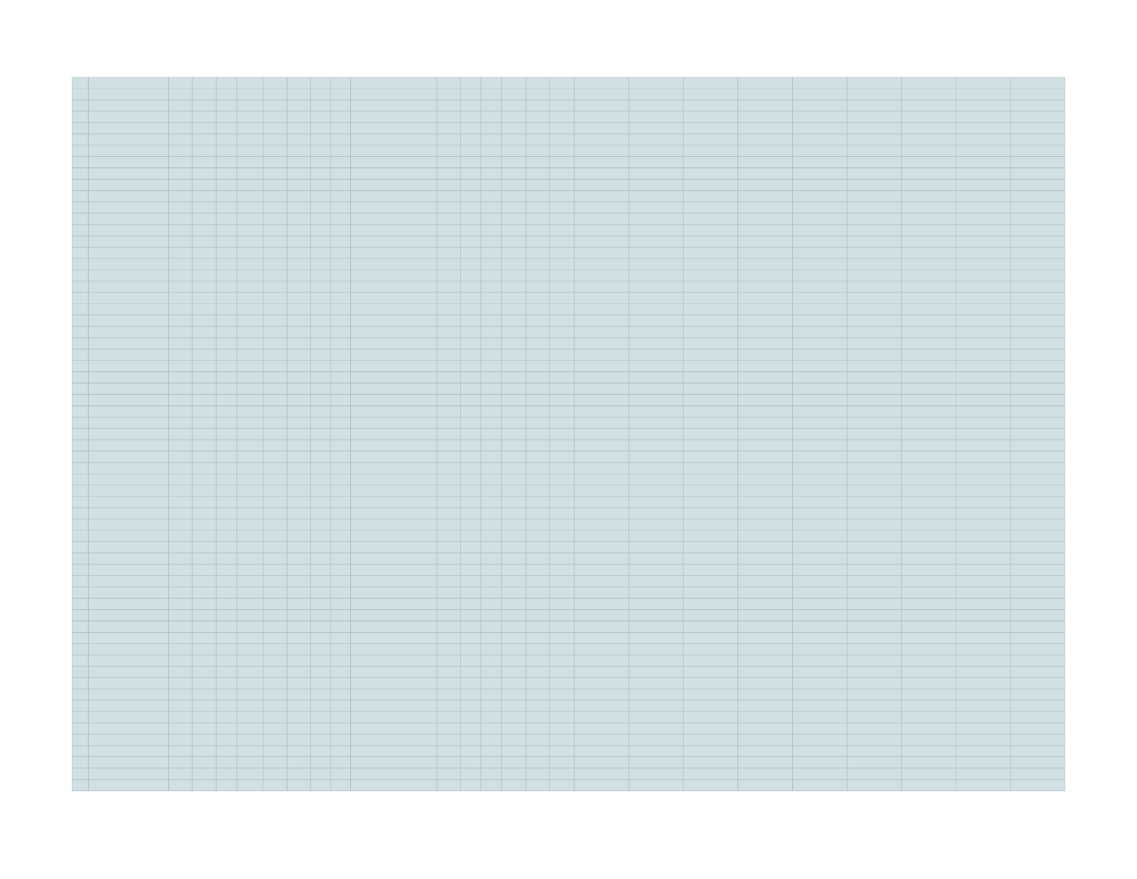|  | an di sebagai kecamatan dari Sebagai Kecamatan Sebagai Kecamatan Sebagai Kecamatan Sebagai Kecamatan Sebagai |                 |  |                         | ————————<br>————————                                                                                                 |  |  |  |  |  |
|--|--------------------------------------------------------------------------------------------------------------|-----------------|--|-------------------------|----------------------------------------------------------------------------------------------------------------------|--|--|--|--|--|
|  |                                                                                                              |                 |  |                         |                                                                                                                      |  |  |  |  |  |
|  |                                                                                                              |                 |  |                         |                                                                                                                      |  |  |  |  |  |
|  |                                                                                                              |                 |  |                         |                                                                                                                      |  |  |  |  |  |
|  |                                                                                                              |                 |  |                         |                                                                                                                      |  |  |  |  |  |
|  |                                                                                                              |                 |  |                         |                                                                                                                      |  |  |  |  |  |
|  |                                                                                                              |                 |  |                         |                                                                                                                      |  |  |  |  |  |
|  |                                                                                                              |                 |  |                         |                                                                                                                      |  |  |  |  |  |
|  |                                                                                                              |                 |  |                         |                                                                                                                      |  |  |  |  |  |
|  | <u> 1955 - Jan Barbara III, ma</u>                                                                           |                 |  |                         |                                                                                                                      |  |  |  |  |  |
|  | ------------                                                                                                 |                 |  |                         |                                                                                                                      |  |  |  |  |  |
|  |                                                                                                              |                 |  |                         |                                                                                                                      |  |  |  |  |  |
|  |                                                                                                              |                 |  |                         |                                                                                                                      |  |  |  |  |  |
|  |                                                                                                              |                 |  |                         |                                                                                                                      |  |  |  |  |  |
|  |                                                                                                              |                 |  |                         |                                                                                                                      |  |  |  |  |  |
|  |                                                                                                              |                 |  |                         |                                                                                                                      |  |  |  |  |  |
|  |                                                                                                              |                 |  |                         |                                                                                                                      |  |  |  |  |  |
|  |                                                                                                              |                 |  |                         |                                                                                                                      |  |  |  |  |  |
|  |                                                                                                              |                 |  |                         |                                                                                                                      |  |  |  |  |  |
|  |                                                                                                              |                 |  |                         |                                                                                                                      |  |  |  |  |  |
|  |                                                                                                              |                 |  |                         |                                                                                                                      |  |  |  |  |  |
|  |                                                                                                              |                 |  |                         |                                                                                                                      |  |  |  |  |  |
|  |                                                                                                              |                 |  |                         |                                                                                                                      |  |  |  |  |  |
|  |                                                                                                              |                 |  |                         |                                                                                                                      |  |  |  |  |  |
|  |                                                                                                              |                 |  |                         |                                                                                                                      |  |  |  |  |  |
|  |                                                                                                              |                 |  |                         |                                                                                                                      |  |  |  |  |  |
|  |                                                                                                              |                 |  |                         |                                                                                                                      |  |  |  |  |  |
|  | <u> 1999 – John Harry</u>                                                                                    |                 |  |                         |                                                                                                                      |  |  |  |  |  |
|  |                                                                                                              |                 |  |                         |                                                                                                                      |  |  |  |  |  |
|  |                                                                                                              |                 |  |                         |                                                                                                                      |  |  |  |  |  |
|  |                                                                                                              |                 |  |                         |                                                                                                                      |  |  |  |  |  |
|  |                                                                                                              |                 |  |                         |                                                                                                                      |  |  |  |  |  |
|  |                                                                                                              |                 |  |                         |                                                                                                                      |  |  |  |  |  |
|  |                                                                                                              |                 |  | <u> a serie de la p</u> |                                                                                                                      |  |  |  |  |  |
|  |                                                                                                              |                 |  |                         |                                                                                                                      |  |  |  |  |  |
|  |                                                                                                              |                 |  |                         |                                                                                                                      |  |  |  |  |  |
|  |                                                                                                              |                 |  |                         |                                                                                                                      |  |  |  |  |  |
|  |                                                                                                              |                 |  |                         |                                                                                                                      |  |  |  |  |  |
|  | <u> Elektroni</u>                                                                                            |                 |  |                         |                                                                                                                      |  |  |  |  |  |
|  |                                                                                                              |                 |  |                         |                                                                                                                      |  |  |  |  |  |
|  |                                                                                                              |                 |  |                         |                                                                                                                      |  |  |  |  |  |
|  |                                                                                                              |                 |  |                         |                                                                                                                      |  |  |  |  |  |
|  |                                                                                                              |                 |  |                         |                                                                                                                      |  |  |  |  |  |
|  |                                                                                                              |                 |  |                         |                                                                                                                      |  |  |  |  |  |
|  |                                                                                                              |                 |  |                         |                                                                                                                      |  |  |  |  |  |
|  |                                                                                                              |                 |  |                         |                                                                                                                      |  |  |  |  |  |
|  |                                                                                                              |                 |  |                         |                                                                                                                      |  |  |  |  |  |
|  |                                                                                                              |                 |  |                         |                                                                                                                      |  |  |  |  |  |
|  |                                                                                                              |                 |  |                         |                                                                                                                      |  |  |  |  |  |
|  |                                                                                                              |                 |  |                         |                                                                                                                      |  |  |  |  |  |
|  |                                                                                                              |                 |  |                         | ar de la segunda                                                                                                     |  |  |  |  |  |
|  |                                                                                                              |                 |  |                         |                                                                                                                      |  |  |  |  |  |
|  |                                                                                                              |                 |  |                         |                                                                                                                      |  |  |  |  |  |
|  |                                                                                                              |                 |  |                         |                                                                                                                      |  |  |  |  |  |
|  |                                                                                                              |                 |  |                         | <u> La Carlo de la Ca</u>                                                                                            |  |  |  |  |  |
|  |                                                                                                              |                 |  |                         |                                                                                                                      |  |  |  |  |  |
|  | <del>, , , , , , , , , , , , , ,</del>                                                                       |                 |  |                         | ____________________                                                                                                 |  |  |  |  |  |
|  |                                                                                                              |                 |  |                         |                                                                                                                      |  |  |  |  |  |
|  |                                                                                                              | <u>talah da</u> |  |                         |                                                                                                                      |  |  |  |  |  |
|  |                                                                                                              |                 |  |                         | <u>e de la partida de la partida de la partida de la partida de la partida de la partida de la partida de la par</u> |  |  |  |  |  |
|  |                                                                                                              |                 |  |                         |                                                                                                                      |  |  |  |  |  |
|  |                                                                                                              |                 |  |                         |                                                                                                                      |  |  |  |  |  |
|  |                                                                                                              |                 |  |                         |                                                                                                                      |  |  |  |  |  |
|  |                                                                                                              |                 |  |                         |                                                                                                                      |  |  |  |  |  |
|  |                                                                                                              |                 |  |                         |                                                                                                                      |  |  |  |  |  |
|  |                                                                                                              |                 |  |                         |                                                                                                                      |  |  |  |  |  |
|  |                                                                                                              |                 |  |                         |                                                                                                                      |  |  |  |  |  |
|  |                                                                                                              |                 |  |                         |                                                                                                                      |  |  |  |  |  |
|  |                                                                                                              |                 |  |                         |                                                                                                                      |  |  |  |  |  |
|  |                                                                                                              |                 |  |                         |                                                                                                                      |  |  |  |  |  |
|  |                                                                                                              |                 |  |                         |                                                                                                                      |  |  |  |  |  |
|  |                                                                                                              |                 |  |                         |                                                                                                                      |  |  |  |  |  |
|  |                                                                                                              |                 |  |                         |                                                                                                                      |  |  |  |  |  |
|  |                                                                                                              |                 |  |                         |                                                                                                                      |  |  |  |  |  |
|  |                                                                                                              |                 |  |                         |                                                                                                                      |  |  |  |  |  |
|  |                                                                                                              |                 |  |                         |                                                                                                                      |  |  |  |  |  |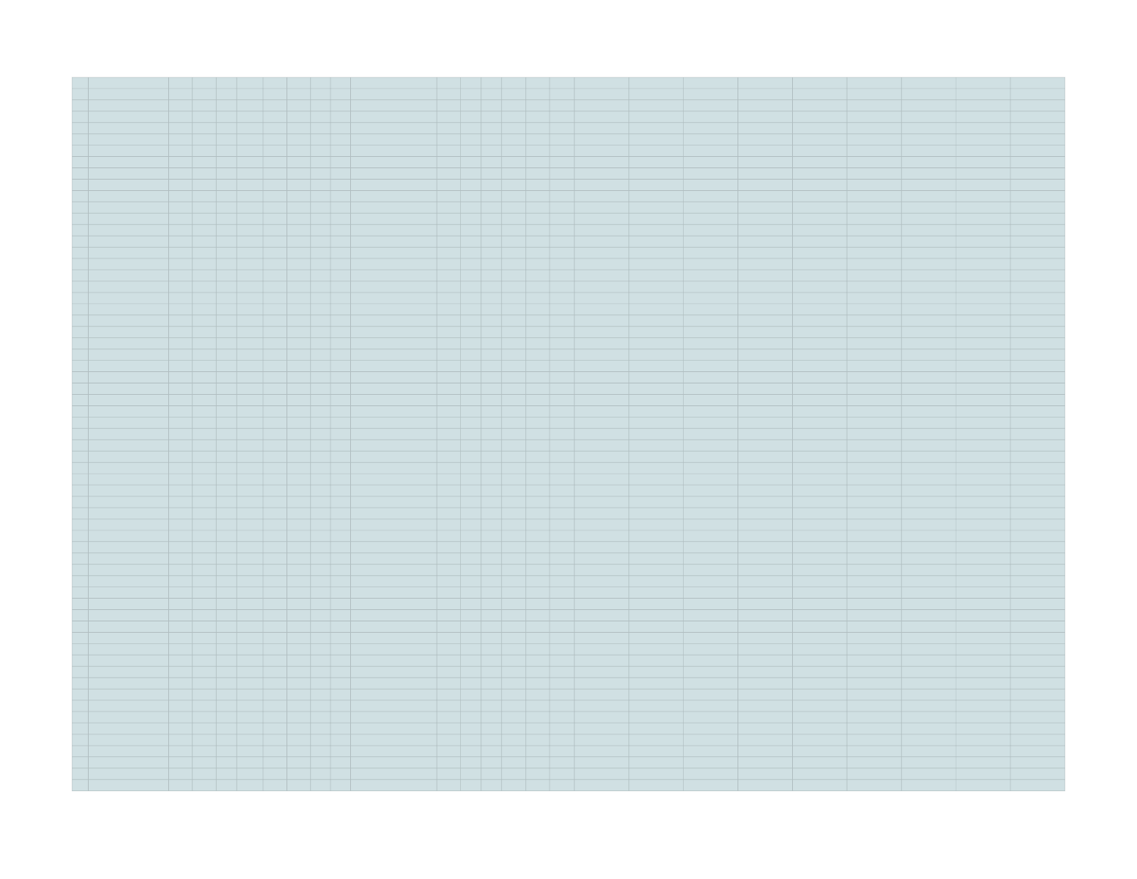|  | an di sebagai kecamatan dari Sebagai Kecamatan Sebagai Kecamatan Sebagai Kecamatan Sebagai Kecamatan Sebagai |                 |  |                         | ————————<br>————————                                                                                                 |  |  |  |  |  |
|--|--------------------------------------------------------------------------------------------------------------|-----------------|--|-------------------------|----------------------------------------------------------------------------------------------------------------------|--|--|--|--|--|
|  |                                                                                                              |                 |  |                         |                                                                                                                      |  |  |  |  |  |
|  |                                                                                                              |                 |  |                         |                                                                                                                      |  |  |  |  |  |
|  |                                                                                                              |                 |  |                         |                                                                                                                      |  |  |  |  |  |
|  |                                                                                                              |                 |  |                         |                                                                                                                      |  |  |  |  |  |
|  |                                                                                                              |                 |  |                         |                                                                                                                      |  |  |  |  |  |
|  |                                                                                                              |                 |  |                         |                                                                                                                      |  |  |  |  |  |
|  |                                                                                                              |                 |  |                         |                                                                                                                      |  |  |  |  |  |
|  |                                                                                                              |                 |  |                         |                                                                                                                      |  |  |  |  |  |
|  | <u> 1955 - Jan Barbara III, ma</u>                                                                           |                 |  |                         |                                                                                                                      |  |  |  |  |  |
|  | ------------                                                                                                 |                 |  |                         |                                                                                                                      |  |  |  |  |  |
|  |                                                                                                              |                 |  |                         |                                                                                                                      |  |  |  |  |  |
|  |                                                                                                              |                 |  |                         |                                                                                                                      |  |  |  |  |  |
|  |                                                                                                              |                 |  |                         |                                                                                                                      |  |  |  |  |  |
|  |                                                                                                              |                 |  |                         |                                                                                                                      |  |  |  |  |  |
|  |                                                                                                              |                 |  |                         |                                                                                                                      |  |  |  |  |  |
|  |                                                                                                              |                 |  |                         |                                                                                                                      |  |  |  |  |  |
|  |                                                                                                              |                 |  |                         |                                                                                                                      |  |  |  |  |  |
|  |                                                                                                              |                 |  |                         |                                                                                                                      |  |  |  |  |  |
|  |                                                                                                              |                 |  |                         |                                                                                                                      |  |  |  |  |  |
|  |                                                                                                              |                 |  |                         |                                                                                                                      |  |  |  |  |  |
|  |                                                                                                              |                 |  |                         |                                                                                                                      |  |  |  |  |  |
|  |                                                                                                              |                 |  |                         |                                                                                                                      |  |  |  |  |  |
|  |                                                                                                              |                 |  |                         |                                                                                                                      |  |  |  |  |  |
|  |                                                                                                              |                 |  |                         |                                                                                                                      |  |  |  |  |  |
|  |                                                                                                              |                 |  |                         |                                                                                                                      |  |  |  |  |  |
|  |                                                                                                              |                 |  |                         |                                                                                                                      |  |  |  |  |  |
|  | <u> 1999 – John Harry</u>                                                                                    |                 |  |                         |                                                                                                                      |  |  |  |  |  |
|  |                                                                                                              |                 |  |                         |                                                                                                                      |  |  |  |  |  |
|  |                                                                                                              |                 |  |                         |                                                                                                                      |  |  |  |  |  |
|  |                                                                                                              |                 |  |                         |                                                                                                                      |  |  |  |  |  |
|  |                                                                                                              |                 |  |                         |                                                                                                                      |  |  |  |  |  |
|  |                                                                                                              |                 |  |                         |                                                                                                                      |  |  |  |  |  |
|  |                                                                                                              |                 |  | <u> a serie de la p</u> |                                                                                                                      |  |  |  |  |  |
|  |                                                                                                              |                 |  |                         |                                                                                                                      |  |  |  |  |  |
|  |                                                                                                              |                 |  |                         |                                                                                                                      |  |  |  |  |  |
|  |                                                                                                              |                 |  |                         |                                                                                                                      |  |  |  |  |  |
|  |                                                                                                              |                 |  |                         |                                                                                                                      |  |  |  |  |  |
|  | <u> Elektroni</u>                                                                                            |                 |  |                         |                                                                                                                      |  |  |  |  |  |
|  |                                                                                                              |                 |  |                         |                                                                                                                      |  |  |  |  |  |
|  |                                                                                                              |                 |  |                         |                                                                                                                      |  |  |  |  |  |
|  |                                                                                                              |                 |  |                         |                                                                                                                      |  |  |  |  |  |
|  |                                                                                                              |                 |  |                         |                                                                                                                      |  |  |  |  |  |
|  |                                                                                                              |                 |  |                         |                                                                                                                      |  |  |  |  |  |
|  |                                                                                                              |                 |  |                         |                                                                                                                      |  |  |  |  |  |
|  |                                                                                                              |                 |  |                         |                                                                                                                      |  |  |  |  |  |
|  |                                                                                                              |                 |  |                         |                                                                                                                      |  |  |  |  |  |
|  |                                                                                                              |                 |  |                         |                                                                                                                      |  |  |  |  |  |
|  |                                                                                                              |                 |  |                         |                                                                                                                      |  |  |  |  |  |
|  |                                                                                                              |                 |  |                         |                                                                                                                      |  |  |  |  |  |
|  |                                                                                                              |                 |  |                         | ar de la segunda                                                                                                     |  |  |  |  |  |
|  |                                                                                                              |                 |  |                         |                                                                                                                      |  |  |  |  |  |
|  |                                                                                                              |                 |  |                         |                                                                                                                      |  |  |  |  |  |
|  |                                                                                                              |                 |  |                         |                                                                                                                      |  |  |  |  |  |
|  |                                                                                                              |                 |  |                         | <u> La Carlo de la Ca</u>                                                                                            |  |  |  |  |  |
|  |                                                                                                              |                 |  |                         |                                                                                                                      |  |  |  |  |  |
|  | <del>, , , , , , , , , , , , , ,</del>                                                                       |                 |  |                         | ____________________                                                                                                 |  |  |  |  |  |
|  |                                                                                                              |                 |  |                         |                                                                                                                      |  |  |  |  |  |
|  |                                                                                                              | <u>talah da</u> |  |                         |                                                                                                                      |  |  |  |  |  |
|  |                                                                                                              |                 |  |                         | <u>e de la partida de la partida de la partida de la partida de la partida de la partida de la partida de la par</u> |  |  |  |  |  |
|  |                                                                                                              |                 |  |                         |                                                                                                                      |  |  |  |  |  |
|  |                                                                                                              |                 |  |                         |                                                                                                                      |  |  |  |  |  |
|  |                                                                                                              |                 |  |                         |                                                                                                                      |  |  |  |  |  |
|  |                                                                                                              |                 |  |                         |                                                                                                                      |  |  |  |  |  |
|  |                                                                                                              |                 |  |                         |                                                                                                                      |  |  |  |  |  |
|  |                                                                                                              |                 |  |                         |                                                                                                                      |  |  |  |  |  |
|  |                                                                                                              |                 |  |                         |                                                                                                                      |  |  |  |  |  |
|  |                                                                                                              |                 |  |                         |                                                                                                                      |  |  |  |  |  |
|  |                                                                                                              |                 |  |                         |                                                                                                                      |  |  |  |  |  |
|  |                                                                                                              |                 |  |                         |                                                                                                                      |  |  |  |  |  |
|  |                                                                                                              |                 |  |                         |                                                                                                                      |  |  |  |  |  |
|  |                                                                                                              |                 |  |                         |                                                                                                                      |  |  |  |  |  |
|  |                                                                                                              |                 |  |                         |                                                                                                                      |  |  |  |  |  |
|  |                                                                                                              |                 |  |                         |                                                                                                                      |  |  |  |  |  |
|  |                                                                                                              |                 |  |                         |                                                                                                                      |  |  |  |  |  |
|  |                                                                                                              |                 |  |                         |                                                                                                                      |  |  |  |  |  |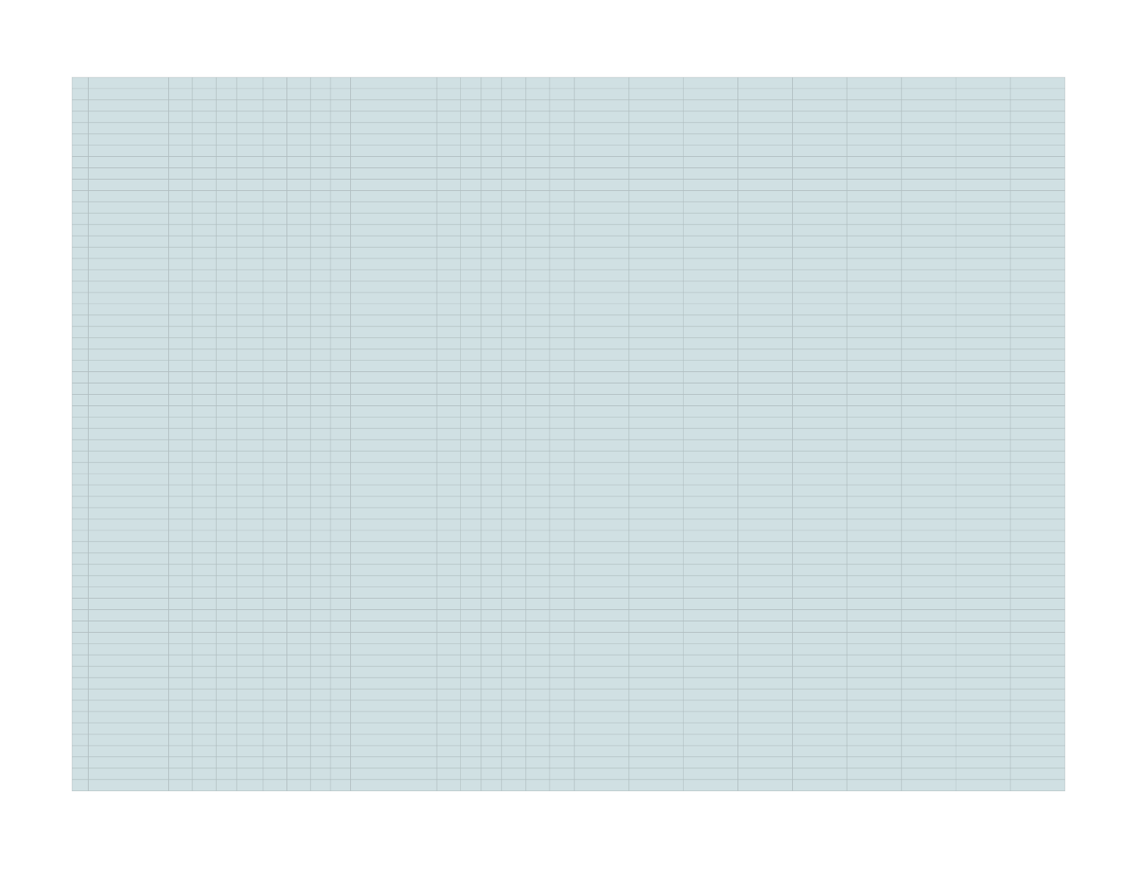|  | an di sebagai kecamatan dari Sebagai Kecamatan Sebagai Kecamatan Sebagai Kecamatan Sebagai Kecamatan Sebagai |                 |  |                         | ————————<br>————————                                                                                                 |  |  |  |  |  |
|--|--------------------------------------------------------------------------------------------------------------|-----------------|--|-------------------------|----------------------------------------------------------------------------------------------------------------------|--|--|--|--|--|
|  |                                                                                                              |                 |  |                         |                                                                                                                      |  |  |  |  |  |
|  |                                                                                                              |                 |  |                         |                                                                                                                      |  |  |  |  |  |
|  |                                                                                                              |                 |  |                         |                                                                                                                      |  |  |  |  |  |
|  |                                                                                                              |                 |  |                         |                                                                                                                      |  |  |  |  |  |
|  |                                                                                                              |                 |  |                         |                                                                                                                      |  |  |  |  |  |
|  |                                                                                                              |                 |  |                         |                                                                                                                      |  |  |  |  |  |
|  |                                                                                                              |                 |  |                         |                                                                                                                      |  |  |  |  |  |
|  |                                                                                                              |                 |  |                         |                                                                                                                      |  |  |  |  |  |
|  | <u> 1955 - Jan Barbara III, ma</u>                                                                           |                 |  |                         |                                                                                                                      |  |  |  |  |  |
|  | ------------                                                                                                 |                 |  |                         |                                                                                                                      |  |  |  |  |  |
|  |                                                                                                              |                 |  |                         |                                                                                                                      |  |  |  |  |  |
|  |                                                                                                              |                 |  |                         |                                                                                                                      |  |  |  |  |  |
|  |                                                                                                              |                 |  |                         |                                                                                                                      |  |  |  |  |  |
|  |                                                                                                              |                 |  |                         |                                                                                                                      |  |  |  |  |  |
|  |                                                                                                              |                 |  |                         |                                                                                                                      |  |  |  |  |  |
|  |                                                                                                              |                 |  |                         |                                                                                                                      |  |  |  |  |  |
|  |                                                                                                              |                 |  |                         |                                                                                                                      |  |  |  |  |  |
|  |                                                                                                              |                 |  |                         |                                                                                                                      |  |  |  |  |  |
|  |                                                                                                              |                 |  |                         |                                                                                                                      |  |  |  |  |  |
|  |                                                                                                              |                 |  |                         |                                                                                                                      |  |  |  |  |  |
|  |                                                                                                              |                 |  |                         |                                                                                                                      |  |  |  |  |  |
|  |                                                                                                              |                 |  |                         |                                                                                                                      |  |  |  |  |  |
|  |                                                                                                              |                 |  |                         |                                                                                                                      |  |  |  |  |  |
|  |                                                                                                              |                 |  |                         |                                                                                                                      |  |  |  |  |  |
|  |                                                                                                              |                 |  |                         |                                                                                                                      |  |  |  |  |  |
|  |                                                                                                              |                 |  |                         |                                                                                                                      |  |  |  |  |  |
|  | <u> 1999 – John Harry</u>                                                                                    |                 |  |                         |                                                                                                                      |  |  |  |  |  |
|  |                                                                                                              |                 |  |                         |                                                                                                                      |  |  |  |  |  |
|  |                                                                                                              |                 |  |                         |                                                                                                                      |  |  |  |  |  |
|  |                                                                                                              |                 |  |                         |                                                                                                                      |  |  |  |  |  |
|  |                                                                                                              |                 |  |                         |                                                                                                                      |  |  |  |  |  |
|  |                                                                                                              |                 |  |                         |                                                                                                                      |  |  |  |  |  |
|  |                                                                                                              |                 |  | <u> a serie de la p</u> |                                                                                                                      |  |  |  |  |  |
|  |                                                                                                              |                 |  |                         |                                                                                                                      |  |  |  |  |  |
|  |                                                                                                              |                 |  |                         |                                                                                                                      |  |  |  |  |  |
|  |                                                                                                              |                 |  |                         |                                                                                                                      |  |  |  |  |  |
|  |                                                                                                              |                 |  |                         |                                                                                                                      |  |  |  |  |  |
|  | <u> Elektroni</u>                                                                                            |                 |  |                         |                                                                                                                      |  |  |  |  |  |
|  |                                                                                                              |                 |  |                         |                                                                                                                      |  |  |  |  |  |
|  |                                                                                                              |                 |  |                         |                                                                                                                      |  |  |  |  |  |
|  |                                                                                                              |                 |  |                         |                                                                                                                      |  |  |  |  |  |
|  |                                                                                                              |                 |  |                         |                                                                                                                      |  |  |  |  |  |
|  |                                                                                                              |                 |  |                         |                                                                                                                      |  |  |  |  |  |
|  |                                                                                                              |                 |  |                         |                                                                                                                      |  |  |  |  |  |
|  |                                                                                                              |                 |  |                         |                                                                                                                      |  |  |  |  |  |
|  |                                                                                                              |                 |  |                         |                                                                                                                      |  |  |  |  |  |
|  |                                                                                                              |                 |  |                         |                                                                                                                      |  |  |  |  |  |
|  |                                                                                                              |                 |  |                         |                                                                                                                      |  |  |  |  |  |
|  |                                                                                                              |                 |  |                         |                                                                                                                      |  |  |  |  |  |
|  |                                                                                                              |                 |  |                         | ar de la segunda                                                                                                     |  |  |  |  |  |
|  |                                                                                                              |                 |  |                         |                                                                                                                      |  |  |  |  |  |
|  |                                                                                                              |                 |  |                         |                                                                                                                      |  |  |  |  |  |
|  |                                                                                                              |                 |  |                         |                                                                                                                      |  |  |  |  |  |
|  |                                                                                                              |                 |  |                         | <u> La Carlo de la Ca</u>                                                                                            |  |  |  |  |  |
|  |                                                                                                              |                 |  |                         |                                                                                                                      |  |  |  |  |  |
|  | <del>1999 - Jacques II, andreas and service of the U</del>                                                   |                 |  |                         | ____________________                                                                                                 |  |  |  |  |  |
|  |                                                                                                              |                 |  |                         |                                                                                                                      |  |  |  |  |  |
|  |                                                                                                              | <u>talah da</u> |  |                         |                                                                                                                      |  |  |  |  |  |
|  |                                                                                                              |                 |  |                         | <u>e de la partida de la partida de la partida de la partida de la partida de la partida de la partida de la par</u> |  |  |  |  |  |
|  |                                                                                                              |                 |  |                         |                                                                                                                      |  |  |  |  |  |
|  |                                                                                                              |                 |  |                         |                                                                                                                      |  |  |  |  |  |
|  |                                                                                                              |                 |  |                         |                                                                                                                      |  |  |  |  |  |
|  |                                                                                                              |                 |  |                         |                                                                                                                      |  |  |  |  |  |
|  |                                                                                                              |                 |  |                         |                                                                                                                      |  |  |  |  |  |
|  |                                                                                                              |                 |  |                         |                                                                                                                      |  |  |  |  |  |
|  |                                                                                                              |                 |  |                         |                                                                                                                      |  |  |  |  |  |
|  |                                                                                                              |                 |  |                         |                                                                                                                      |  |  |  |  |  |
|  |                                                                                                              |                 |  |                         |                                                                                                                      |  |  |  |  |  |
|  |                                                                                                              |                 |  |                         |                                                                                                                      |  |  |  |  |  |
|  |                                                                                                              |                 |  |                         |                                                                                                                      |  |  |  |  |  |
|  |                                                                                                              |                 |  |                         |                                                                                                                      |  |  |  |  |  |
|  |                                                                                                              |                 |  |                         |                                                                                                                      |  |  |  |  |  |
|  |                                                                                                              |                 |  |                         |                                                                                                                      |  |  |  |  |  |
|  |                                                                                                              |                 |  |                         |                                                                                                                      |  |  |  |  |  |
|  |                                                                                                              |                 |  |                         |                                                                                                                      |  |  |  |  |  |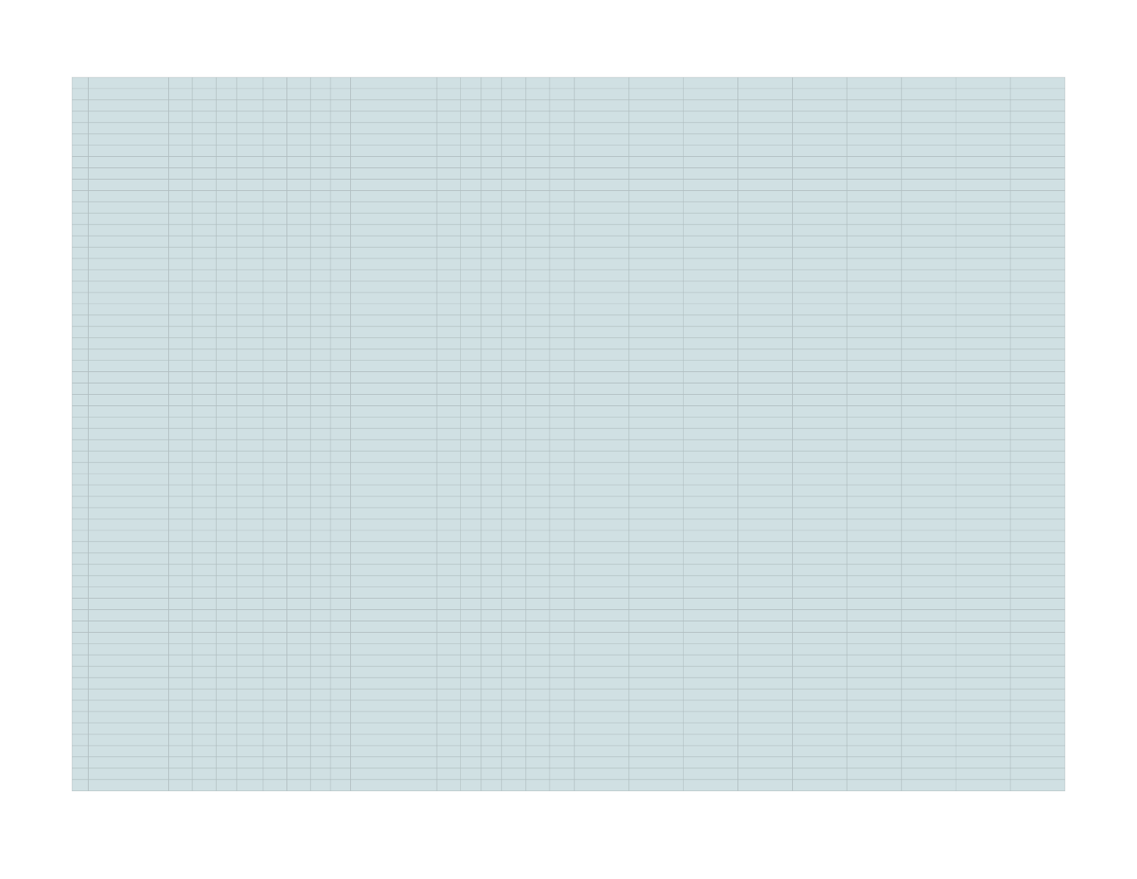|  | an di sebagai kecamatan dari Sebagai Kecamatan Sebagai Kecamatan Sebagai Kecamatan Sebagai Kecamatan Sebagai |                 |  |                         | ————————<br>————————                                                                                                 |  |  |  |  |  |
|--|--------------------------------------------------------------------------------------------------------------|-----------------|--|-------------------------|----------------------------------------------------------------------------------------------------------------------|--|--|--|--|--|
|  |                                                                                                              |                 |  |                         |                                                                                                                      |  |  |  |  |  |
|  |                                                                                                              |                 |  |                         |                                                                                                                      |  |  |  |  |  |
|  |                                                                                                              |                 |  |                         |                                                                                                                      |  |  |  |  |  |
|  |                                                                                                              |                 |  |                         |                                                                                                                      |  |  |  |  |  |
|  |                                                                                                              |                 |  |                         |                                                                                                                      |  |  |  |  |  |
|  |                                                                                                              |                 |  |                         |                                                                                                                      |  |  |  |  |  |
|  |                                                                                                              |                 |  |                         |                                                                                                                      |  |  |  |  |  |
|  |                                                                                                              |                 |  |                         |                                                                                                                      |  |  |  |  |  |
|  | <u> 1955 - Jan Barbara III, ma</u>                                                                           |                 |  |                         |                                                                                                                      |  |  |  |  |  |
|  | ------------                                                                                                 |                 |  |                         |                                                                                                                      |  |  |  |  |  |
|  |                                                                                                              |                 |  |                         |                                                                                                                      |  |  |  |  |  |
|  |                                                                                                              |                 |  |                         |                                                                                                                      |  |  |  |  |  |
|  |                                                                                                              |                 |  |                         |                                                                                                                      |  |  |  |  |  |
|  |                                                                                                              |                 |  |                         |                                                                                                                      |  |  |  |  |  |
|  |                                                                                                              |                 |  |                         |                                                                                                                      |  |  |  |  |  |
|  |                                                                                                              |                 |  |                         |                                                                                                                      |  |  |  |  |  |
|  |                                                                                                              |                 |  |                         |                                                                                                                      |  |  |  |  |  |
|  |                                                                                                              |                 |  |                         |                                                                                                                      |  |  |  |  |  |
|  |                                                                                                              |                 |  |                         |                                                                                                                      |  |  |  |  |  |
|  |                                                                                                              |                 |  |                         |                                                                                                                      |  |  |  |  |  |
|  |                                                                                                              |                 |  |                         |                                                                                                                      |  |  |  |  |  |
|  |                                                                                                              |                 |  |                         |                                                                                                                      |  |  |  |  |  |
|  |                                                                                                              |                 |  |                         |                                                                                                                      |  |  |  |  |  |
|  |                                                                                                              |                 |  |                         |                                                                                                                      |  |  |  |  |  |
|  |                                                                                                              |                 |  |                         |                                                                                                                      |  |  |  |  |  |
|  |                                                                                                              |                 |  |                         |                                                                                                                      |  |  |  |  |  |
|  | <u> 1999 – John Harry</u>                                                                                    |                 |  |                         |                                                                                                                      |  |  |  |  |  |
|  |                                                                                                              |                 |  |                         |                                                                                                                      |  |  |  |  |  |
|  |                                                                                                              |                 |  |                         |                                                                                                                      |  |  |  |  |  |
|  |                                                                                                              |                 |  |                         |                                                                                                                      |  |  |  |  |  |
|  |                                                                                                              |                 |  |                         |                                                                                                                      |  |  |  |  |  |
|  |                                                                                                              |                 |  |                         |                                                                                                                      |  |  |  |  |  |
|  |                                                                                                              |                 |  | <u> a serie de la p</u> |                                                                                                                      |  |  |  |  |  |
|  |                                                                                                              |                 |  |                         |                                                                                                                      |  |  |  |  |  |
|  |                                                                                                              |                 |  |                         |                                                                                                                      |  |  |  |  |  |
|  |                                                                                                              |                 |  |                         |                                                                                                                      |  |  |  |  |  |
|  |                                                                                                              |                 |  |                         |                                                                                                                      |  |  |  |  |  |
|  | <u> Elektroni</u>                                                                                            |                 |  |                         |                                                                                                                      |  |  |  |  |  |
|  |                                                                                                              |                 |  |                         |                                                                                                                      |  |  |  |  |  |
|  |                                                                                                              |                 |  |                         |                                                                                                                      |  |  |  |  |  |
|  |                                                                                                              |                 |  |                         |                                                                                                                      |  |  |  |  |  |
|  |                                                                                                              |                 |  |                         |                                                                                                                      |  |  |  |  |  |
|  |                                                                                                              |                 |  |                         |                                                                                                                      |  |  |  |  |  |
|  |                                                                                                              |                 |  |                         |                                                                                                                      |  |  |  |  |  |
|  |                                                                                                              |                 |  |                         |                                                                                                                      |  |  |  |  |  |
|  |                                                                                                              |                 |  |                         |                                                                                                                      |  |  |  |  |  |
|  |                                                                                                              |                 |  |                         |                                                                                                                      |  |  |  |  |  |
|  |                                                                                                              |                 |  |                         |                                                                                                                      |  |  |  |  |  |
|  |                                                                                                              |                 |  |                         |                                                                                                                      |  |  |  |  |  |
|  |                                                                                                              |                 |  |                         | ar de la segunda                                                                                                     |  |  |  |  |  |
|  |                                                                                                              |                 |  |                         |                                                                                                                      |  |  |  |  |  |
|  |                                                                                                              |                 |  |                         |                                                                                                                      |  |  |  |  |  |
|  |                                                                                                              |                 |  |                         |                                                                                                                      |  |  |  |  |  |
|  |                                                                                                              |                 |  |                         | <u> La Carlo de la Ca</u>                                                                                            |  |  |  |  |  |
|  |                                                                                                              |                 |  |                         |                                                                                                                      |  |  |  |  |  |
|  | <del>1999 - Jacques II, andreas and service of the U</del>                                                   |                 |  |                         | ____________________                                                                                                 |  |  |  |  |  |
|  |                                                                                                              |                 |  |                         |                                                                                                                      |  |  |  |  |  |
|  |                                                                                                              | <u>talah da</u> |  |                         |                                                                                                                      |  |  |  |  |  |
|  |                                                                                                              |                 |  |                         | <u>e de la partida de la partida de la partida de la partida de la partida de la partida de la partida de la par</u> |  |  |  |  |  |
|  |                                                                                                              |                 |  |                         |                                                                                                                      |  |  |  |  |  |
|  |                                                                                                              |                 |  |                         |                                                                                                                      |  |  |  |  |  |
|  |                                                                                                              |                 |  |                         |                                                                                                                      |  |  |  |  |  |
|  |                                                                                                              |                 |  |                         |                                                                                                                      |  |  |  |  |  |
|  |                                                                                                              |                 |  |                         |                                                                                                                      |  |  |  |  |  |
|  |                                                                                                              |                 |  |                         |                                                                                                                      |  |  |  |  |  |
|  |                                                                                                              |                 |  |                         |                                                                                                                      |  |  |  |  |  |
|  |                                                                                                              |                 |  |                         |                                                                                                                      |  |  |  |  |  |
|  |                                                                                                              |                 |  |                         |                                                                                                                      |  |  |  |  |  |
|  |                                                                                                              |                 |  |                         |                                                                                                                      |  |  |  |  |  |
|  |                                                                                                              |                 |  |                         |                                                                                                                      |  |  |  |  |  |
|  |                                                                                                              |                 |  |                         |                                                                                                                      |  |  |  |  |  |
|  |                                                                                                              |                 |  |                         |                                                                                                                      |  |  |  |  |  |
|  |                                                                                                              |                 |  |                         |                                                                                                                      |  |  |  |  |  |
|  |                                                                                                              |                 |  |                         |                                                                                                                      |  |  |  |  |  |
|  |                                                                                                              |                 |  |                         |                                                                                                                      |  |  |  |  |  |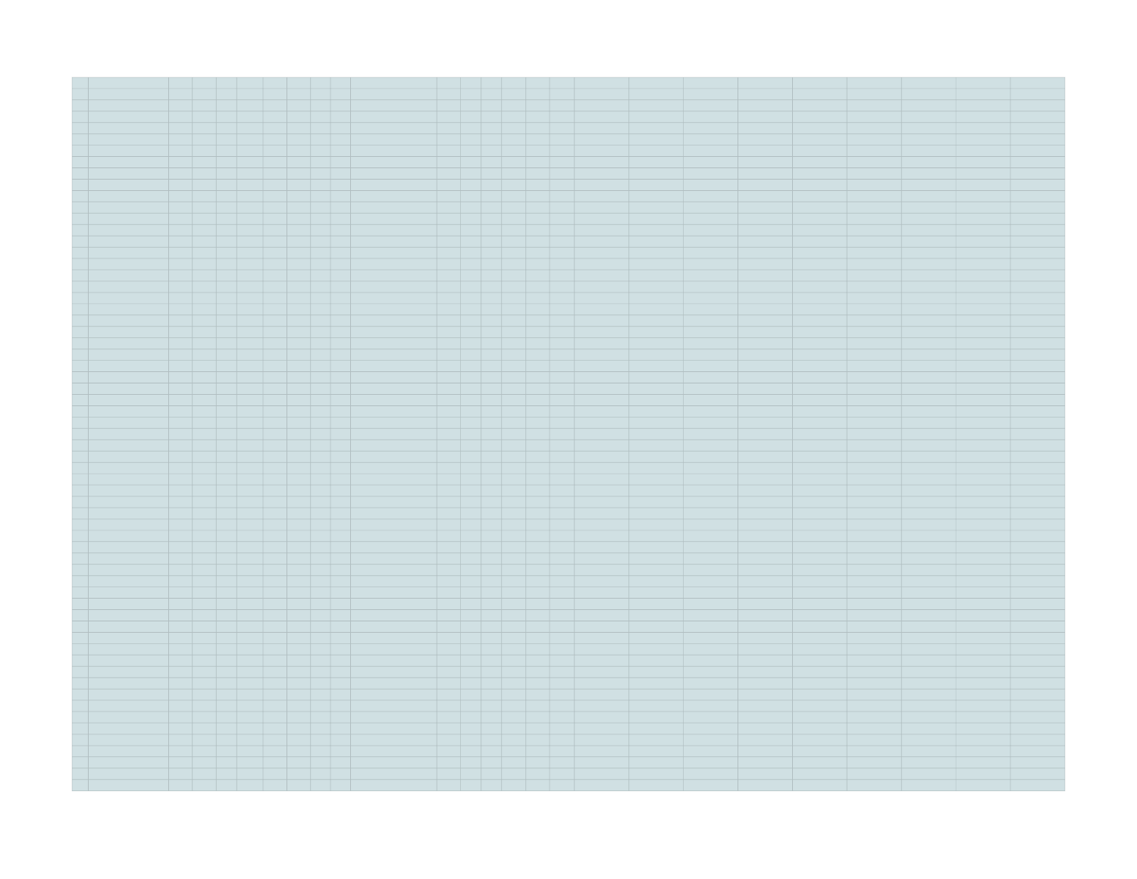|  | an di sebagai kecamatan dari Sebagai Kecamatan Sebagai Kecamatan Sebagai Kecamatan Sebagai Kecamatan Sebagai |                 |  |                         | ————————<br>————————                                                                                                 |  |  |  |  |  |
|--|--------------------------------------------------------------------------------------------------------------|-----------------|--|-------------------------|----------------------------------------------------------------------------------------------------------------------|--|--|--|--|--|
|  |                                                                                                              |                 |  |                         |                                                                                                                      |  |  |  |  |  |
|  |                                                                                                              |                 |  |                         |                                                                                                                      |  |  |  |  |  |
|  |                                                                                                              |                 |  |                         |                                                                                                                      |  |  |  |  |  |
|  |                                                                                                              |                 |  |                         |                                                                                                                      |  |  |  |  |  |
|  |                                                                                                              |                 |  |                         |                                                                                                                      |  |  |  |  |  |
|  |                                                                                                              |                 |  |                         |                                                                                                                      |  |  |  |  |  |
|  |                                                                                                              |                 |  |                         |                                                                                                                      |  |  |  |  |  |
|  |                                                                                                              |                 |  |                         |                                                                                                                      |  |  |  |  |  |
|  | <u> 1955 - Jan Barbara III, ma</u>                                                                           |                 |  |                         |                                                                                                                      |  |  |  |  |  |
|  | ------------                                                                                                 |                 |  |                         |                                                                                                                      |  |  |  |  |  |
|  |                                                                                                              |                 |  |                         |                                                                                                                      |  |  |  |  |  |
|  |                                                                                                              |                 |  |                         |                                                                                                                      |  |  |  |  |  |
|  |                                                                                                              |                 |  |                         |                                                                                                                      |  |  |  |  |  |
|  |                                                                                                              |                 |  |                         |                                                                                                                      |  |  |  |  |  |
|  |                                                                                                              |                 |  |                         |                                                                                                                      |  |  |  |  |  |
|  |                                                                                                              |                 |  |                         |                                                                                                                      |  |  |  |  |  |
|  |                                                                                                              |                 |  |                         |                                                                                                                      |  |  |  |  |  |
|  |                                                                                                              |                 |  |                         |                                                                                                                      |  |  |  |  |  |
|  |                                                                                                              |                 |  |                         |                                                                                                                      |  |  |  |  |  |
|  |                                                                                                              |                 |  |                         |                                                                                                                      |  |  |  |  |  |
|  |                                                                                                              |                 |  |                         |                                                                                                                      |  |  |  |  |  |
|  |                                                                                                              |                 |  |                         |                                                                                                                      |  |  |  |  |  |
|  |                                                                                                              |                 |  |                         |                                                                                                                      |  |  |  |  |  |
|  |                                                                                                              |                 |  |                         |                                                                                                                      |  |  |  |  |  |
|  |                                                                                                              |                 |  |                         |                                                                                                                      |  |  |  |  |  |
|  |                                                                                                              |                 |  |                         |                                                                                                                      |  |  |  |  |  |
|  | <u> 1999 – John Harry</u>                                                                                    |                 |  |                         |                                                                                                                      |  |  |  |  |  |
|  |                                                                                                              |                 |  |                         |                                                                                                                      |  |  |  |  |  |
|  |                                                                                                              |                 |  |                         |                                                                                                                      |  |  |  |  |  |
|  |                                                                                                              |                 |  |                         |                                                                                                                      |  |  |  |  |  |
|  |                                                                                                              |                 |  |                         |                                                                                                                      |  |  |  |  |  |
|  |                                                                                                              |                 |  |                         |                                                                                                                      |  |  |  |  |  |
|  |                                                                                                              |                 |  | <u> a serie de la p</u> |                                                                                                                      |  |  |  |  |  |
|  |                                                                                                              |                 |  |                         |                                                                                                                      |  |  |  |  |  |
|  |                                                                                                              |                 |  |                         |                                                                                                                      |  |  |  |  |  |
|  |                                                                                                              |                 |  |                         |                                                                                                                      |  |  |  |  |  |
|  |                                                                                                              |                 |  |                         |                                                                                                                      |  |  |  |  |  |
|  | <u> Elektroni</u>                                                                                            |                 |  |                         |                                                                                                                      |  |  |  |  |  |
|  |                                                                                                              |                 |  |                         |                                                                                                                      |  |  |  |  |  |
|  |                                                                                                              |                 |  |                         |                                                                                                                      |  |  |  |  |  |
|  |                                                                                                              |                 |  |                         |                                                                                                                      |  |  |  |  |  |
|  |                                                                                                              |                 |  |                         |                                                                                                                      |  |  |  |  |  |
|  |                                                                                                              |                 |  |                         |                                                                                                                      |  |  |  |  |  |
|  |                                                                                                              |                 |  |                         |                                                                                                                      |  |  |  |  |  |
|  |                                                                                                              |                 |  |                         |                                                                                                                      |  |  |  |  |  |
|  |                                                                                                              |                 |  |                         |                                                                                                                      |  |  |  |  |  |
|  |                                                                                                              |                 |  |                         |                                                                                                                      |  |  |  |  |  |
|  |                                                                                                              |                 |  |                         |                                                                                                                      |  |  |  |  |  |
|  |                                                                                                              |                 |  |                         |                                                                                                                      |  |  |  |  |  |
|  |                                                                                                              |                 |  |                         | ar de la segunda                                                                                                     |  |  |  |  |  |
|  |                                                                                                              |                 |  |                         |                                                                                                                      |  |  |  |  |  |
|  |                                                                                                              |                 |  |                         |                                                                                                                      |  |  |  |  |  |
|  |                                                                                                              |                 |  |                         |                                                                                                                      |  |  |  |  |  |
|  |                                                                                                              |                 |  |                         | <u> La Carlo de la Ca</u>                                                                                            |  |  |  |  |  |
|  |                                                                                                              |                 |  |                         |                                                                                                                      |  |  |  |  |  |
|  | <del>1999 - Jacques II, andreas and service of the U</del>                                                   |                 |  |                         | ____________________                                                                                                 |  |  |  |  |  |
|  |                                                                                                              |                 |  |                         |                                                                                                                      |  |  |  |  |  |
|  |                                                                                                              | <u>talah da</u> |  |                         |                                                                                                                      |  |  |  |  |  |
|  |                                                                                                              |                 |  |                         | <u>e de la partida de la partida de la partida de la partida de la partida de la partida de la partida de la par</u> |  |  |  |  |  |
|  |                                                                                                              |                 |  |                         |                                                                                                                      |  |  |  |  |  |
|  |                                                                                                              |                 |  |                         |                                                                                                                      |  |  |  |  |  |
|  |                                                                                                              |                 |  |                         |                                                                                                                      |  |  |  |  |  |
|  |                                                                                                              |                 |  |                         |                                                                                                                      |  |  |  |  |  |
|  |                                                                                                              |                 |  |                         |                                                                                                                      |  |  |  |  |  |
|  |                                                                                                              |                 |  |                         |                                                                                                                      |  |  |  |  |  |
|  |                                                                                                              |                 |  |                         |                                                                                                                      |  |  |  |  |  |
|  |                                                                                                              |                 |  |                         |                                                                                                                      |  |  |  |  |  |
|  |                                                                                                              |                 |  |                         |                                                                                                                      |  |  |  |  |  |
|  |                                                                                                              |                 |  |                         |                                                                                                                      |  |  |  |  |  |
|  |                                                                                                              |                 |  |                         |                                                                                                                      |  |  |  |  |  |
|  |                                                                                                              |                 |  |                         |                                                                                                                      |  |  |  |  |  |
|  |                                                                                                              |                 |  |                         |                                                                                                                      |  |  |  |  |  |
|  |                                                                                                              |                 |  |                         |                                                                                                                      |  |  |  |  |  |
|  |                                                                                                              |                 |  |                         |                                                                                                                      |  |  |  |  |  |
|  |                                                                                                              |                 |  |                         |                                                                                                                      |  |  |  |  |  |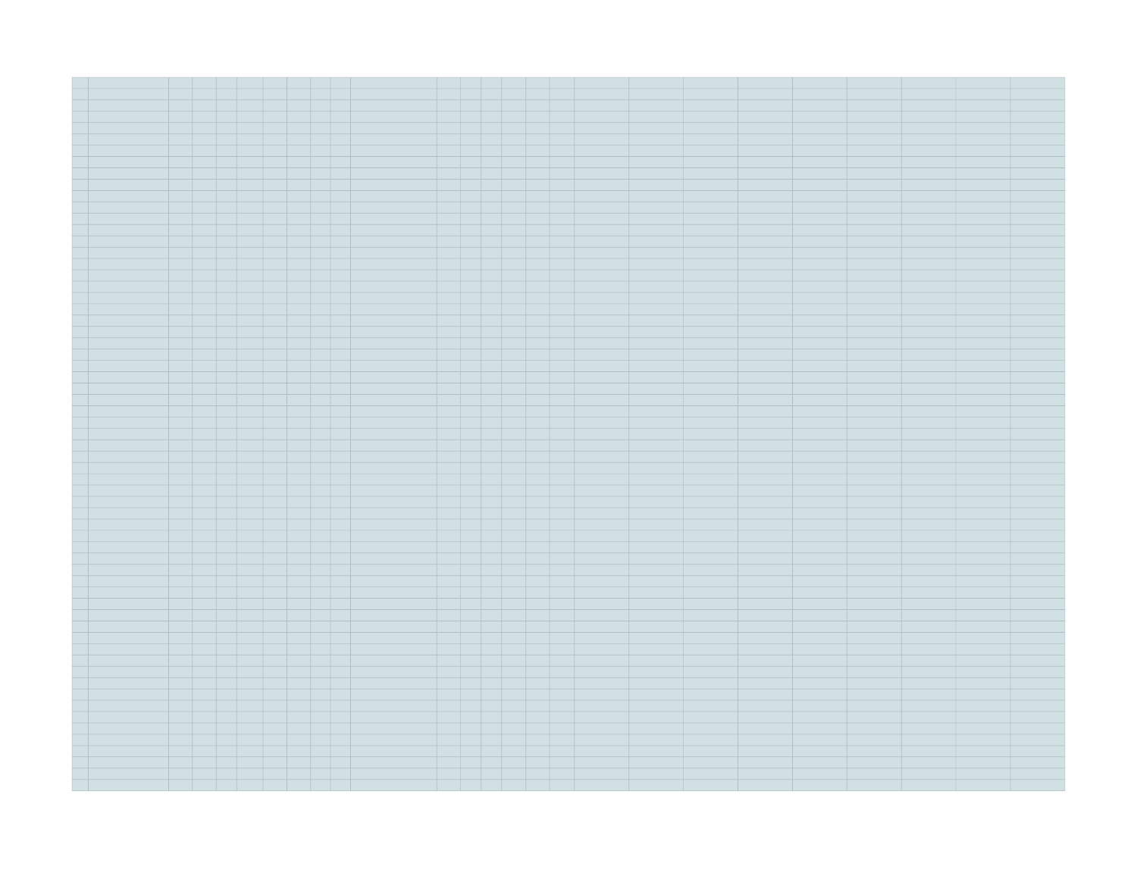|  | an di sebagai kecamatan dari Sebagai Kecamatan Sebagai Kecamatan Sebagai Kecamatan Sebagai Kecamatan Sebagai |                 |  |                         | ————————<br>————————                                                                                                 |  |  |  |  |  |
|--|--------------------------------------------------------------------------------------------------------------|-----------------|--|-------------------------|----------------------------------------------------------------------------------------------------------------------|--|--|--|--|--|
|  |                                                                                                              |                 |  |                         |                                                                                                                      |  |  |  |  |  |
|  |                                                                                                              |                 |  |                         |                                                                                                                      |  |  |  |  |  |
|  |                                                                                                              |                 |  |                         |                                                                                                                      |  |  |  |  |  |
|  |                                                                                                              |                 |  |                         |                                                                                                                      |  |  |  |  |  |
|  |                                                                                                              |                 |  |                         |                                                                                                                      |  |  |  |  |  |
|  |                                                                                                              |                 |  |                         |                                                                                                                      |  |  |  |  |  |
|  |                                                                                                              |                 |  |                         |                                                                                                                      |  |  |  |  |  |
|  |                                                                                                              |                 |  |                         |                                                                                                                      |  |  |  |  |  |
|  | <u> 1955 - Jan Barbara III, ma</u>                                                                           |                 |  |                         |                                                                                                                      |  |  |  |  |  |
|  | ------------                                                                                                 |                 |  |                         |                                                                                                                      |  |  |  |  |  |
|  |                                                                                                              |                 |  |                         |                                                                                                                      |  |  |  |  |  |
|  |                                                                                                              |                 |  |                         |                                                                                                                      |  |  |  |  |  |
|  |                                                                                                              |                 |  |                         |                                                                                                                      |  |  |  |  |  |
|  |                                                                                                              |                 |  |                         |                                                                                                                      |  |  |  |  |  |
|  |                                                                                                              |                 |  |                         |                                                                                                                      |  |  |  |  |  |
|  |                                                                                                              |                 |  |                         |                                                                                                                      |  |  |  |  |  |
|  |                                                                                                              |                 |  |                         |                                                                                                                      |  |  |  |  |  |
|  |                                                                                                              |                 |  |                         |                                                                                                                      |  |  |  |  |  |
|  |                                                                                                              |                 |  |                         |                                                                                                                      |  |  |  |  |  |
|  |                                                                                                              |                 |  |                         |                                                                                                                      |  |  |  |  |  |
|  |                                                                                                              |                 |  |                         |                                                                                                                      |  |  |  |  |  |
|  |                                                                                                              |                 |  |                         |                                                                                                                      |  |  |  |  |  |
|  |                                                                                                              |                 |  |                         |                                                                                                                      |  |  |  |  |  |
|  |                                                                                                              |                 |  |                         |                                                                                                                      |  |  |  |  |  |
|  |                                                                                                              |                 |  |                         |                                                                                                                      |  |  |  |  |  |
|  |                                                                                                              |                 |  |                         |                                                                                                                      |  |  |  |  |  |
|  | <u> 1999 – John Harry</u>                                                                                    |                 |  |                         |                                                                                                                      |  |  |  |  |  |
|  |                                                                                                              |                 |  |                         |                                                                                                                      |  |  |  |  |  |
|  |                                                                                                              |                 |  |                         |                                                                                                                      |  |  |  |  |  |
|  |                                                                                                              |                 |  |                         |                                                                                                                      |  |  |  |  |  |
|  |                                                                                                              |                 |  |                         |                                                                                                                      |  |  |  |  |  |
|  |                                                                                                              |                 |  |                         |                                                                                                                      |  |  |  |  |  |
|  |                                                                                                              |                 |  | <u> a serie de la p</u> |                                                                                                                      |  |  |  |  |  |
|  |                                                                                                              |                 |  |                         |                                                                                                                      |  |  |  |  |  |
|  |                                                                                                              |                 |  |                         |                                                                                                                      |  |  |  |  |  |
|  |                                                                                                              |                 |  |                         |                                                                                                                      |  |  |  |  |  |
|  |                                                                                                              |                 |  |                         |                                                                                                                      |  |  |  |  |  |
|  | <u> Elektroni</u>                                                                                            |                 |  |                         |                                                                                                                      |  |  |  |  |  |
|  |                                                                                                              |                 |  |                         |                                                                                                                      |  |  |  |  |  |
|  |                                                                                                              |                 |  |                         |                                                                                                                      |  |  |  |  |  |
|  |                                                                                                              |                 |  |                         |                                                                                                                      |  |  |  |  |  |
|  |                                                                                                              |                 |  |                         |                                                                                                                      |  |  |  |  |  |
|  |                                                                                                              |                 |  |                         |                                                                                                                      |  |  |  |  |  |
|  |                                                                                                              |                 |  |                         |                                                                                                                      |  |  |  |  |  |
|  |                                                                                                              |                 |  |                         |                                                                                                                      |  |  |  |  |  |
|  |                                                                                                              |                 |  |                         |                                                                                                                      |  |  |  |  |  |
|  |                                                                                                              |                 |  |                         |                                                                                                                      |  |  |  |  |  |
|  |                                                                                                              |                 |  |                         |                                                                                                                      |  |  |  |  |  |
|  |                                                                                                              |                 |  |                         |                                                                                                                      |  |  |  |  |  |
|  |                                                                                                              |                 |  |                         | ar de la segunda                                                                                                     |  |  |  |  |  |
|  |                                                                                                              |                 |  |                         |                                                                                                                      |  |  |  |  |  |
|  |                                                                                                              |                 |  |                         |                                                                                                                      |  |  |  |  |  |
|  |                                                                                                              |                 |  |                         |                                                                                                                      |  |  |  |  |  |
|  |                                                                                                              |                 |  |                         | <u> La Carlo de la Ca</u>                                                                                            |  |  |  |  |  |
|  |                                                                                                              |                 |  |                         |                                                                                                                      |  |  |  |  |  |
|  | <del>1999 - Jacques II, andreas and service of the U</del>                                                   |                 |  |                         | ____________________                                                                                                 |  |  |  |  |  |
|  |                                                                                                              |                 |  |                         |                                                                                                                      |  |  |  |  |  |
|  |                                                                                                              | <u>talah da</u> |  |                         |                                                                                                                      |  |  |  |  |  |
|  |                                                                                                              |                 |  |                         | <u>e de la partida de la partida de la partida de la partida de la partida de la partida de la partida de la par</u> |  |  |  |  |  |
|  |                                                                                                              |                 |  |                         |                                                                                                                      |  |  |  |  |  |
|  |                                                                                                              |                 |  |                         |                                                                                                                      |  |  |  |  |  |
|  |                                                                                                              |                 |  |                         |                                                                                                                      |  |  |  |  |  |
|  |                                                                                                              |                 |  |                         |                                                                                                                      |  |  |  |  |  |
|  |                                                                                                              |                 |  |                         |                                                                                                                      |  |  |  |  |  |
|  |                                                                                                              |                 |  |                         |                                                                                                                      |  |  |  |  |  |
|  |                                                                                                              |                 |  |                         |                                                                                                                      |  |  |  |  |  |
|  |                                                                                                              |                 |  |                         |                                                                                                                      |  |  |  |  |  |
|  |                                                                                                              |                 |  |                         |                                                                                                                      |  |  |  |  |  |
|  |                                                                                                              |                 |  |                         |                                                                                                                      |  |  |  |  |  |
|  |                                                                                                              |                 |  |                         |                                                                                                                      |  |  |  |  |  |
|  |                                                                                                              |                 |  |                         |                                                                                                                      |  |  |  |  |  |
|  |                                                                                                              |                 |  |                         |                                                                                                                      |  |  |  |  |  |
|  |                                                                                                              |                 |  |                         |                                                                                                                      |  |  |  |  |  |
|  |                                                                                                              |                 |  |                         |                                                                                                                      |  |  |  |  |  |
|  |                                                                                                              |                 |  |                         |                                                                                                                      |  |  |  |  |  |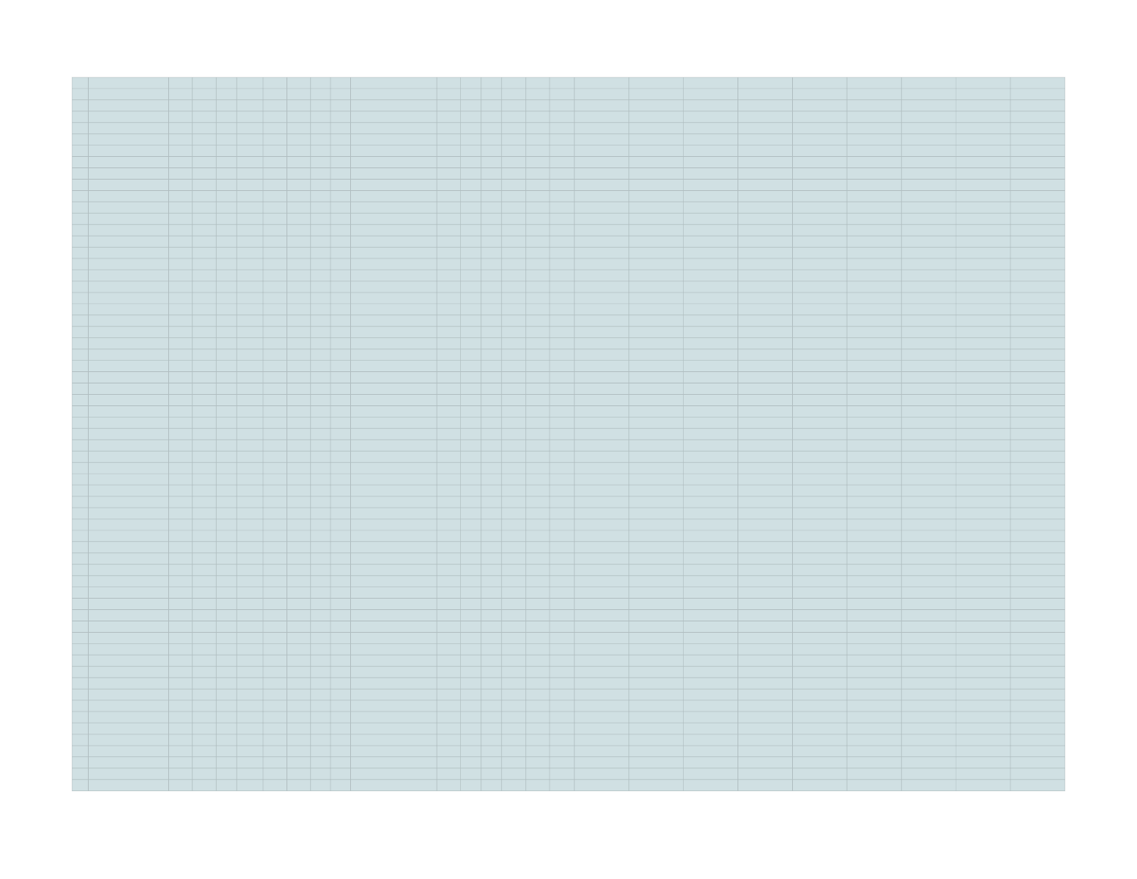|  | an di sebagai kecamatan dari Sebagai Kecamatan Sebagai Kecamatan Sebagai Kecamatan Sebagai Kecamatan Sebagai |                 |  |                         | ————————<br>————————                                                                                                 |  |  |  |  |  |
|--|--------------------------------------------------------------------------------------------------------------|-----------------|--|-------------------------|----------------------------------------------------------------------------------------------------------------------|--|--|--|--|--|
|  |                                                                                                              |                 |  |                         |                                                                                                                      |  |  |  |  |  |
|  |                                                                                                              |                 |  |                         |                                                                                                                      |  |  |  |  |  |
|  |                                                                                                              |                 |  |                         |                                                                                                                      |  |  |  |  |  |
|  |                                                                                                              |                 |  |                         |                                                                                                                      |  |  |  |  |  |
|  |                                                                                                              |                 |  |                         |                                                                                                                      |  |  |  |  |  |
|  |                                                                                                              |                 |  |                         |                                                                                                                      |  |  |  |  |  |
|  |                                                                                                              |                 |  |                         |                                                                                                                      |  |  |  |  |  |
|  |                                                                                                              |                 |  |                         |                                                                                                                      |  |  |  |  |  |
|  | <u> 1955 - Jan Barbara III, ma</u>                                                                           |                 |  |                         |                                                                                                                      |  |  |  |  |  |
|  | ------------                                                                                                 |                 |  |                         |                                                                                                                      |  |  |  |  |  |
|  |                                                                                                              |                 |  |                         |                                                                                                                      |  |  |  |  |  |
|  |                                                                                                              |                 |  |                         |                                                                                                                      |  |  |  |  |  |
|  |                                                                                                              |                 |  |                         |                                                                                                                      |  |  |  |  |  |
|  |                                                                                                              |                 |  |                         |                                                                                                                      |  |  |  |  |  |
|  |                                                                                                              |                 |  |                         |                                                                                                                      |  |  |  |  |  |
|  |                                                                                                              |                 |  |                         |                                                                                                                      |  |  |  |  |  |
|  |                                                                                                              |                 |  |                         |                                                                                                                      |  |  |  |  |  |
|  |                                                                                                              |                 |  |                         |                                                                                                                      |  |  |  |  |  |
|  |                                                                                                              |                 |  |                         |                                                                                                                      |  |  |  |  |  |
|  |                                                                                                              |                 |  |                         |                                                                                                                      |  |  |  |  |  |
|  |                                                                                                              |                 |  |                         |                                                                                                                      |  |  |  |  |  |
|  |                                                                                                              |                 |  |                         |                                                                                                                      |  |  |  |  |  |
|  |                                                                                                              |                 |  |                         |                                                                                                                      |  |  |  |  |  |
|  |                                                                                                              |                 |  |                         |                                                                                                                      |  |  |  |  |  |
|  |                                                                                                              |                 |  |                         |                                                                                                                      |  |  |  |  |  |
|  |                                                                                                              |                 |  |                         |                                                                                                                      |  |  |  |  |  |
|  | <u> 1999 – John Harry</u>                                                                                    |                 |  |                         |                                                                                                                      |  |  |  |  |  |
|  |                                                                                                              |                 |  |                         |                                                                                                                      |  |  |  |  |  |
|  |                                                                                                              |                 |  |                         |                                                                                                                      |  |  |  |  |  |
|  |                                                                                                              |                 |  |                         |                                                                                                                      |  |  |  |  |  |
|  |                                                                                                              |                 |  |                         |                                                                                                                      |  |  |  |  |  |
|  |                                                                                                              |                 |  |                         |                                                                                                                      |  |  |  |  |  |
|  |                                                                                                              |                 |  | <u> a serie de la p</u> |                                                                                                                      |  |  |  |  |  |
|  |                                                                                                              |                 |  |                         |                                                                                                                      |  |  |  |  |  |
|  |                                                                                                              |                 |  |                         |                                                                                                                      |  |  |  |  |  |
|  |                                                                                                              |                 |  |                         |                                                                                                                      |  |  |  |  |  |
|  |                                                                                                              |                 |  |                         |                                                                                                                      |  |  |  |  |  |
|  | <u> Elektroni</u>                                                                                            |                 |  |                         |                                                                                                                      |  |  |  |  |  |
|  |                                                                                                              |                 |  |                         |                                                                                                                      |  |  |  |  |  |
|  |                                                                                                              |                 |  |                         |                                                                                                                      |  |  |  |  |  |
|  |                                                                                                              |                 |  |                         |                                                                                                                      |  |  |  |  |  |
|  |                                                                                                              |                 |  |                         |                                                                                                                      |  |  |  |  |  |
|  |                                                                                                              |                 |  |                         |                                                                                                                      |  |  |  |  |  |
|  |                                                                                                              |                 |  |                         |                                                                                                                      |  |  |  |  |  |
|  |                                                                                                              |                 |  |                         |                                                                                                                      |  |  |  |  |  |
|  |                                                                                                              |                 |  |                         |                                                                                                                      |  |  |  |  |  |
|  |                                                                                                              |                 |  |                         |                                                                                                                      |  |  |  |  |  |
|  |                                                                                                              |                 |  |                         |                                                                                                                      |  |  |  |  |  |
|  |                                                                                                              |                 |  |                         |                                                                                                                      |  |  |  |  |  |
|  |                                                                                                              |                 |  |                         | ar de la segunda                                                                                                     |  |  |  |  |  |
|  |                                                                                                              |                 |  |                         |                                                                                                                      |  |  |  |  |  |
|  |                                                                                                              |                 |  |                         |                                                                                                                      |  |  |  |  |  |
|  |                                                                                                              |                 |  |                         |                                                                                                                      |  |  |  |  |  |
|  |                                                                                                              |                 |  |                         | <u> La Carlo de la Ca</u>                                                                                            |  |  |  |  |  |
|  |                                                                                                              |                 |  |                         |                                                                                                                      |  |  |  |  |  |
|  | <del>1999 - Jacques II, andreas and service of the U</del>                                                   |                 |  |                         | ____________________                                                                                                 |  |  |  |  |  |
|  |                                                                                                              |                 |  |                         |                                                                                                                      |  |  |  |  |  |
|  |                                                                                                              | <u>talah da</u> |  |                         |                                                                                                                      |  |  |  |  |  |
|  |                                                                                                              |                 |  |                         | <u>e de la partida de la partida de la partida de la partida de la partida de la partida de la partida de la par</u> |  |  |  |  |  |
|  |                                                                                                              |                 |  |                         |                                                                                                                      |  |  |  |  |  |
|  |                                                                                                              |                 |  |                         |                                                                                                                      |  |  |  |  |  |
|  |                                                                                                              |                 |  |                         |                                                                                                                      |  |  |  |  |  |
|  |                                                                                                              |                 |  |                         |                                                                                                                      |  |  |  |  |  |
|  |                                                                                                              |                 |  |                         |                                                                                                                      |  |  |  |  |  |
|  |                                                                                                              |                 |  |                         |                                                                                                                      |  |  |  |  |  |
|  |                                                                                                              |                 |  |                         |                                                                                                                      |  |  |  |  |  |
|  |                                                                                                              |                 |  |                         |                                                                                                                      |  |  |  |  |  |
|  |                                                                                                              |                 |  |                         |                                                                                                                      |  |  |  |  |  |
|  |                                                                                                              |                 |  |                         |                                                                                                                      |  |  |  |  |  |
|  |                                                                                                              |                 |  |                         |                                                                                                                      |  |  |  |  |  |
|  |                                                                                                              |                 |  |                         |                                                                                                                      |  |  |  |  |  |
|  |                                                                                                              |                 |  |                         |                                                                                                                      |  |  |  |  |  |
|  |                                                                                                              |                 |  |                         |                                                                                                                      |  |  |  |  |  |
|  |                                                                                                              |                 |  |                         |                                                                                                                      |  |  |  |  |  |
|  |                                                                                                              |                 |  |                         |                                                                                                                      |  |  |  |  |  |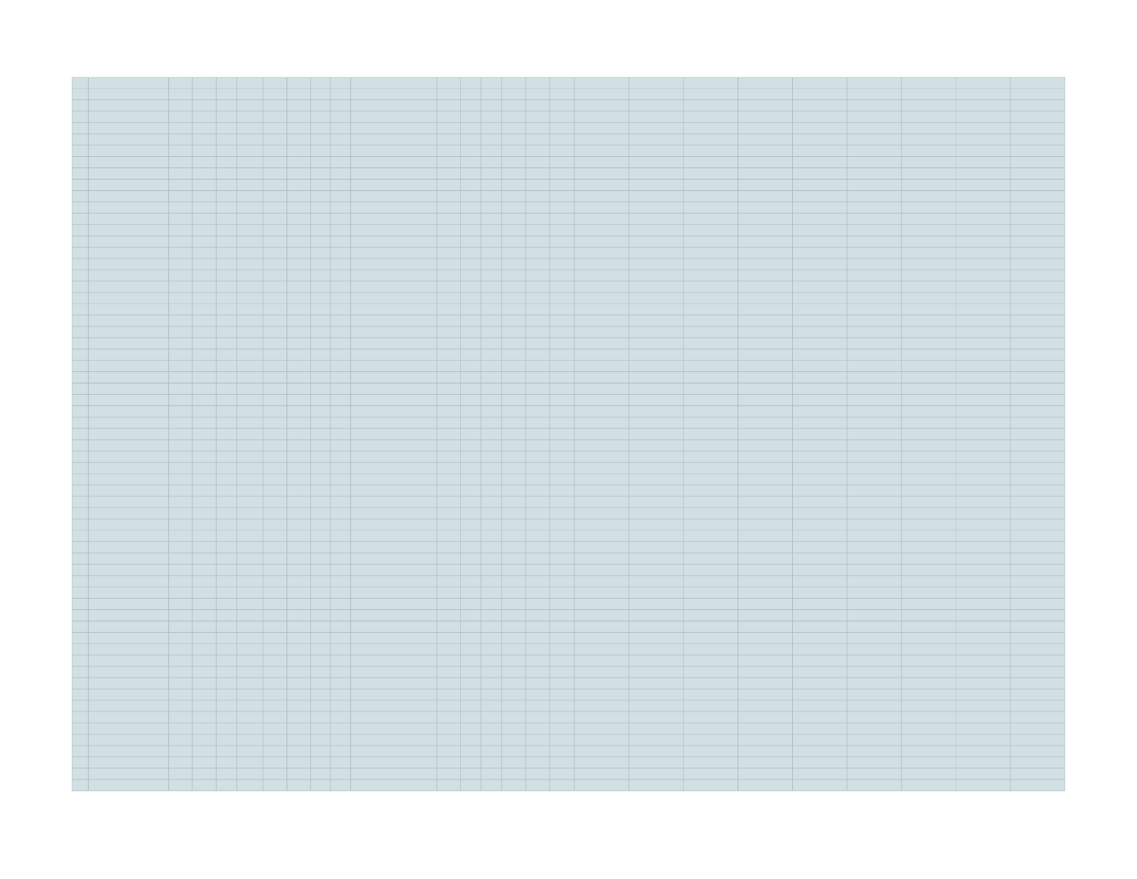|  | an di sebagai kecamatan dari Sebagai Kecamatan Sebagai Kecamatan Sebagai Kecamatan Sebagai Kecamatan Sebagai |                 |  |                         | ————————<br>————————                                                                                                 |  |  |  |  |  |
|--|--------------------------------------------------------------------------------------------------------------|-----------------|--|-------------------------|----------------------------------------------------------------------------------------------------------------------|--|--|--|--|--|
|  |                                                                                                              |                 |  |                         |                                                                                                                      |  |  |  |  |  |
|  |                                                                                                              |                 |  |                         |                                                                                                                      |  |  |  |  |  |
|  |                                                                                                              |                 |  |                         |                                                                                                                      |  |  |  |  |  |
|  |                                                                                                              |                 |  |                         |                                                                                                                      |  |  |  |  |  |
|  |                                                                                                              |                 |  |                         |                                                                                                                      |  |  |  |  |  |
|  |                                                                                                              |                 |  |                         |                                                                                                                      |  |  |  |  |  |
|  |                                                                                                              |                 |  |                         |                                                                                                                      |  |  |  |  |  |
|  |                                                                                                              |                 |  |                         |                                                                                                                      |  |  |  |  |  |
|  | <u> 1955 - Jan Barbara III, ma</u>                                                                           |                 |  |                         |                                                                                                                      |  |  |  |  |  |
|  | ------------                                                                                                 |                 |  |                         |                                                                                                                      |  |  |  |  |  |
|  |                                                                                                              |                 |  |                         |                                                                                                                      |  |  |  |  |  |
|  |                                                                                                              |                 |  |                         |                                                                                                                      |  |  |  |  |  |
|  |                                                                                                              |                 |  |                         |                                                                                                                      |  |  |  |  |  |
|  |                                                                                                              |                 |  |                         |                                                                                                                      |  |  |  |  |  |
|  |                                                                                                              |                 |  |                         |                                                                                                                      |  |  |  |  |  |
|  |                                                                                                              |                 |  |                         |                                                                                                                      |  |  |  |  |  |
|  |                                                                                                              |                 |  |                         |                                                                                                                      |  |  |  |  |  |
|  |                                                                                                              |                 |  |                         |                                                                                                                      |  |  |  |  |  |
|  |                                                                                                              |                 |  |                         |                                                                                                                      |  |  |  |  |  |
|  |                                                                                                              |                 |  |                         |                                                                                                                      |  |  |  |  |  |
|  |                                                                                                              |                 |  |                         |                                                                                                                      |  |  |  |  |  |
|  |                                                                                                              |                 |  |                         |                                                                                                                      |  |  |  |  |  |
|  |                                                                                                              |                 |  |                         |                                                                                                                      |  |  |  |  |  |
|  |                                                                                                              |                 |  |                         |                                                                                                                      |  |  |  |  |  |
|  |                                                                                                              |                 |  |                         |                                                                                                                      |  |  |  |  |  |
|  |                                                                                                              |                 |  |                         |                                                                                                                      |  |  |  |  |  |
|  | <u> 1999 – John Harry</u>                                                                                    |                 |  |                         |                                                                                                                      |  |  |  |  |  |
|  |                                                                                                              |                 |  |                         |                                                                                                                      |  |  |  |  |  |
|  |                                                                                                              |                 |  |                         |                                                                                                                      |  |  |  |  |  |
|  |                                                                                                              |                 |  |                         |                                                                                                                      |  |  |  |  |  |
|  |                                                                                                              |                 |  |                         |                                                                                                                      |  |  |  |  |  |
|  |                                                                                                              |                 |  |                         |                                                                                                                      |  |  |  |  |  |
|  |                                                                                                              |                 |  | <u> a serie de la p</u> |                                                                                                                      |  |  |  |  |  |
|  |                                                                                                              |                 |  |                         |                                                                                                                      |  |  |  |  |  |
|  |                                                                                                              |                 |  |                         |                                                                                                                      |  |  |  |  |  |
|  |                                                                                                              |                 |  |                         |                                                                                                                      |  |  |  |  |  |
|  |                                                                                                              |                 |  |                         |                                                                                                                      |  |  |  |  |  |
|  | <u> Elektroni</u>                                                                                            |                 |  |                         |                                                                                                                      |  |  |  |  |  |
|  |                                                                                                              |                 |  |                         |                                                                                                                      |  |  |  |  |  |
|  |                                                                                                              |                 |  |                         |                                                                                                                      |  |  |  |  |  |
|  |                                                                                                              |                 |  |                         |                                                                                                                      |  |  |  |  |  |
|  |                                                                                                              |                 |  |                         |                                                                                                                      |  |  |  |  |  |
|  |                                                                                                              |                 |  |                         |                                                                                                                      |  |  |  |  |  |
|  |                                                                                                              |                 |  |                         |                                                                                                                      |  |  |  |  |  |
|  |                                                                                                              |                 |  |                         |                                                                                                                      |  |  |  |  |  |
|  |                                                                                                              |                 |  |                         |                                                                                                                      |  |  |  |  |  |
|  |                                                                                                              |                 |  |                         |                                                                                                                      |  |  |  |  |  |
|  |                                                                                                              |                 |  |                         |                                                                                                                      |  |  |  |  |  |
|  |                                                                                                              |                 |  |                         |                                                                                                                      |  |  |  |  |  |
|  |                                                                                                              |                 |  |                         | ar de la segunda                                                                                                     |  |  |  |  |  |
|  |                                                                                                              |                 |  |                         |                                                                                                                      |  |  |  |  |  |
|  |                                                                                                              |                 |  |                         |                                                                                                                      |  |  |  |  |  |
|  |                                                                                                              |                 |  |                         |                                                                                                                      |  |  |  |  |  |
|  |                                                                                                              |                 |  |                         | <u> La Carlo de la Ca</u>                                                                                            |  |  |  |  |  |
|  |                                                                                                              |                 |  |                         |                                                                                                                      |  |  |  |  |  |
|  | <del>1999 - Jacques II, andreas and service of the U</del>                                                   |                 |  |                         | ____________________                                                                                                 |  |  |  |  |  |
|  |                                                                                                              |                 |  |                         |                                                                                                                      |  |  |  |  |  |
|  |                                                                                                              | <u>talah da</u> |  |                         |                                                                                                                      |  |  |  |  |  |
|  |                                                                                                              |                 |  |                         | <u>e de la partida de la partida de la partida de la partida de la partida de la partida de la partida de la par</u> |  |  |  |  |  |
|  |                                                                                                              |                 |  |                         |                                                                                                                      |  |  |  |  |  |
|  |                                                                                                              |                 |  |                         |                                                                                                                      |  |  |  |  |  |
|  |                                                                                                              |                 |  |                         |                                                                                                                      |  |  |  |  |  |
|  |                                                                                                              |                 |  |                         |                                                                                                                      |  |  |  |  |  |
|  |                                                                                                              |                 |  |                         |                                                                                                                      |  |  |  |  |  |
|  |                                                                                                              |                 |  |                         |                                                                                                                      |  |  |  |  |  |
|  |                                                                                                              |                 |  |                         |                                                                                                                      |  |  |  |  |  |
|  |                                                                                                              |                 |  |                         |                                                                                                                      |  |  |  |  |  |
|  |                                                                                                              |                 |  |                         |                                                                                                                      |  |  |  |  |  |
|  |                                                                                                              |                 |  |                         |                                                                                                                      |  |  |  |  |  |
|  |                                                                                                              |                 |  |                         |                                                                                                                      |  |  |  |  |  |
|  |                                                                                                              |                 |  |                         |                                                                                                                      |  |  |  |  |  |
|  |                                                                                                              |                 |  |                         |                                                                                                                      |  |  |  |  |  |
|  |                                                                                                              |                 |  |                         |                                                                                                                      |  |  |  |  |  |
|  |                                                                                                              |                 |  |                         |                                                                                                                      |  |  |  |  |  |
|  |                                                                                                              |                 |  |                         |                                                                                                                      |  |  |  |  |  |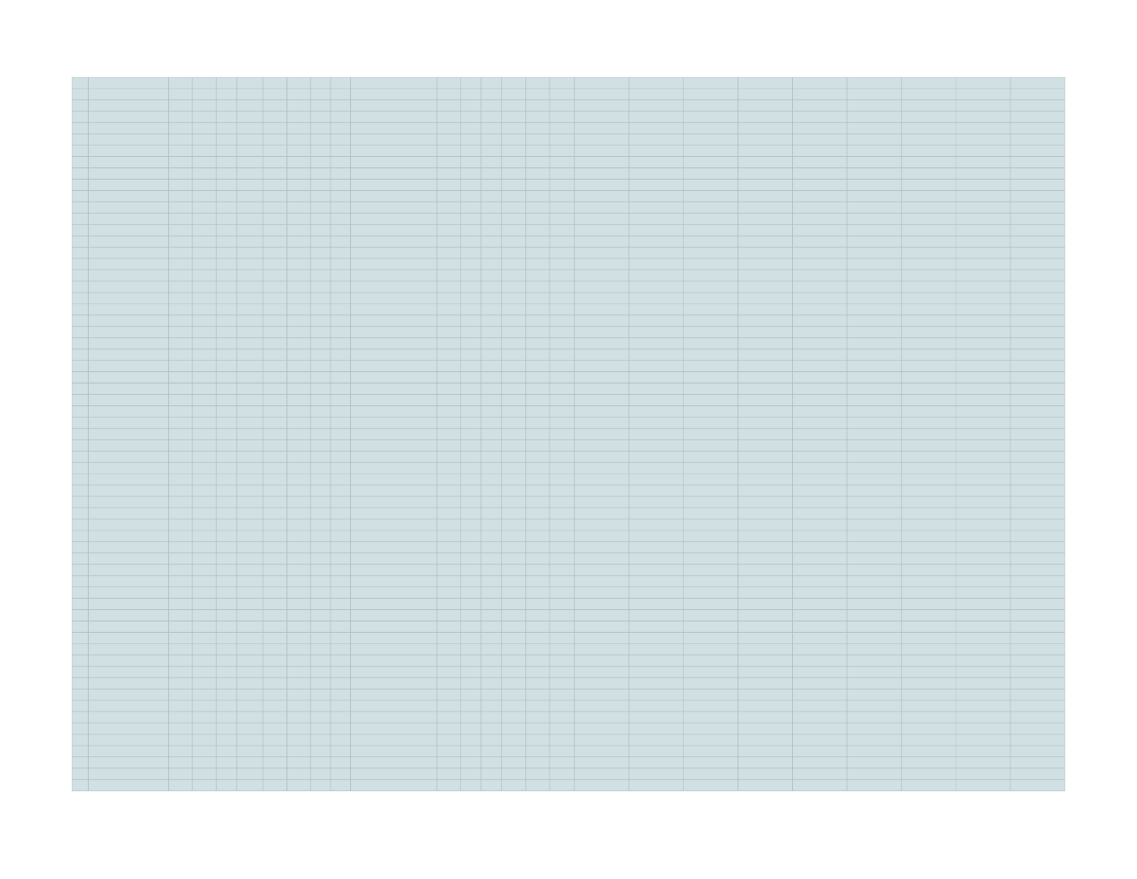|  | an di sebagai kecamatan dari Sebagai Kecamatan Sebagai Kecamatan Sebagai Kecamatan Sebagai Kecamatan Sebagai |                 |  |                         | ————————<br>————————                                                                                                 |  |  |  |  |  |
|--|--------------------------------------------------------------------------------------------------------------|-----------------|--|-------------------------|----------------------------------------------------------------------------------------------------------------------|--|--|--|--|--|
|  |                                                                                                              |                 |  |                         |                                                                                                                      |  |  |  |  |  |
|  |                                                                                                              |                 |  |                         |                                                                                                                      |  |  |  |  |  |
|  |                                                                                                              |                 |  |                         |                                                                                                                      |  |  |  |  |  |
|  |                                                                                                              |                 |  |                         |                                                                                                                      |  |  |  |  |  |
|  |                                                                                                              |                 |  |                         |                                                                                                                      |  |  |  |  |  |
|  |                                                                                                              |                 |  |                         |                                                                                                                      |  |  |  |  |  |
|  |                                                                                                              |                 |  |                         |                                                                                                                      |  |  |  |  |  |
|  |                                                                                                              |                 |  |                         |                                                                                                                      |  |  |  |  |  |
|  | <u> 1955 - Jan Barbara III, ma</u>                                                                           |                 |  |                         |                                                                                                                      |  |  |  |  |  |
|  |                                                                                                              |                 |  |                         |                                                                                                                      |  |  |  |  |  |
|  | ------------                                                                                                 |                 |  |                         |                                                                                                                      |  |  |  |  |  |
|  |                                                                                                              |                 |  |                         |                                                                                                                      |  |  |  |  |  |
|  |                                                                                                              |                 |  |                         |                                                                                                                      |  |  |  |  |  |
|  |                                                                                                              |                 |  |                         |                                                                                                                      |  |  |  |  |  |
|  |                                                                                                              |                 |  |                         |                                                                                                                      |  |  |  |  |  |
|  |                                                                                                              |                 |  |                         |                                                                                                                      |  |  |  |  |  |
|  |                                                                                                              |                 |  |                         |                                                                                                                      |  |  |  |  |  |
|  |                                                                                                              |                 |  |                         |                                                                                                                      |  |  |  |  |  |
|  |                                                                                                              |                 |  |                         |                                                                                                                      |  |  |  |  |  |
|  |                                                                                                              |                 |  |                         |                                                                                                                      |  |  |  |  |  |
|  |                                                                                                              |                 |  |                         |                                                                                                                      |  |  |  |  |  |
|  |                                                                                                              |                 |  |                         |                                                                                                                      |  |  |  |  |  |
|  |                                                                                                              |                 |  |                         |                                                                                                                      |  |  |  |  |  |
|  |                                                                                                              |                 |  |                         |                                                                                                                      |  |  |  |  |  |
|  |                                                                                                              |                 |  |                         |                                                                                                                      |  |  |  |  |  |
|  |                                                                                                              |                 |  |                         |                                                                                                                      |  |  |  |  |  |
|  | <u> 1999 – John Harry</u>                                                                                    |                 |  |                         |                                                                                                                      |  |  |  |  |  |
|  |                                                                                                              |                 |  |                         |                                                                                                                      |  |  |  |  |  |
|  |                                                                                                              |                 |  |                         |                                                                                                                      |  |  |  |  |  |
|  |                                                                                                              |                 |  |                         |                                                                                                                      |  |  |  |  |  |
|  |                                                                                                              |                 |  |                         |                                                                                                                      |  |  |  |  |  |
|  |                                                                                                              |                 |  | <u> a serie de la p</u> |                                                                                                                      |  |  |  |  |  |
|  |                                                                                                              |                 |  |                         |                                                                                                                      |  |  |  |  |  |
|  |                                                                                                              |                 |  |                         |                                                                                                                      |  |  |  |  |  |
|  |                                                                                                              |                 |  |                         |                                                                                                                      |  |  |  |  |  |
|  |                                                                                                              |                 |  |                         |                                                                                                                      |  |  |  |  |  |
|  | <u> Elektroni</u>                                                                                            |                 |  |                         |                                                                                                                      |  |  |  |  |  |
|  |                                                                                                              |                 |  |                         |                                                                                                                      |  |  |  |  |  |
|  |                                                                                                              |                 |  |                         |                                                                                                                      |  |  |  |  |  |
|  |                                                                                                              |                 |  |                         |                                                                                                                      |  |  |  |  |  |
|  |                                                                                                              |                 |  |                         |                                                                                                                      |  |  |  |  |  |
|  |                                                                                                              |                 |  |                         |                                                                                                                      |  |  |  |  |  |
|  |                                                                                                              |                 |  |                         |                                                                                                                      |  |  |  |  |  |
|  |                                                                                                              |                 |  |                         |                                                                                                                      |  |  |  |  |  |
|  |                                                                                                              |                 |  |                         |                                                                                                                      |  |  |  |  |  |
|  |                                                                                                              |                 |  |                         |                                                                                                                      |  |  |  |  |  |
|  |                                                                                                              |                 |  |                         |                                                                                                                      |  |  |  |  |  |
|  |                                                                                                              |                 |  |                         |                                                                                                                      |  |  |  |  |  |
|  |                                                                                                              |                 |  |                         |                                                                                                                      |  |  |  |  |  |
|  |                                                                                                              |                 |  |                         | ar de la segunda                                                                                                     |  |  |  |  |  |
|  |                                                                                                              |                 |  |                         |                                                                                                                      |  |  |  |  |  |
|  |                                                                                                              |                 |  |                         |                                                                                                                      |  |  |  |  |  |
|  |                                                                                                              |                 |  |                         | <u> La Carlo de la Ca</u>                                                                                            |  |  |  |  |  |
|  |                                                                                                              |                 |  |                         |                                                                                                                      |  |  |  |  |  |
|  |                                                                                                              |                 |  |                         |                                                                                                                      |  |  |  |  |  |
|  | <del>1999 - Jacques II, andreas and service of the U</del>                                                   |                 |  |                         | ____________________                                                                                                 |  |  |  |  |  |
|  |                                                                                                              |                 |  |                         |                                                                                                                      |  |  |  |  |  |
|  |                                                                                                              | <u>talah da</u> |  |                         | <u>e de la partida de la partida de la partida de la partida de la partida de la partida de la partida de la par</u> |  |  |  |  |  |
|  |                                                                                                              |                 |  |                         |                                                                                                                      |  |  |  |  |  |
|  |                                                                                                              |                 |  |                         |                                                                                                                      |  |  |  |  |  |
|  |                                                                                                              |                 |  |                         |                                                                                                                      |  |  |  |  |  |
|  |                                                                                                              |                 |  |                         |                                                                                                                      |  |  |  |  |  |
|  |                                                                                                              |                 |  |                         |                                                                                                                      |  |  |  |  |  |
|  |                                                                                                              |                 |  |                         |                                                                                                                      |  |  |  |  |  |
|  |                                                                                                              |                 |  |                         |                                                                                                                      |  |  |  |  |  |
|  |                                                                                                              |                 |  |                         |                                                                                                                      |  |  |  |  |  |
|  |                                                                                                              |                 |  |                         |                                                                                                                      |  |  |  |  |  |
|  |                                                                                                              |                 |  |                         |                                                                                                                      |  |  |  |  |  |
|  |                                                                                                              |                 |  |                         |                                                                                                                      |  |  |  |  |  |
|  |                                                                                                              |                 |  |                         |                                                                                                                      |  |  |  |  |  |
|  |                                                                                                              |                 |  |                         |                                                                                                                      |  |  |  |  |  |
|  |                                                                                                              |                 |  |                         |                                                                                                                      |  |  |  |  |  |
|  |                                                                                                              |                 |  |                         |                                                                                                                      |  |  |  |  |  |
|  |                                                                                                              |                 |  |                         |                                                                                                                      |  |  |  |  |  |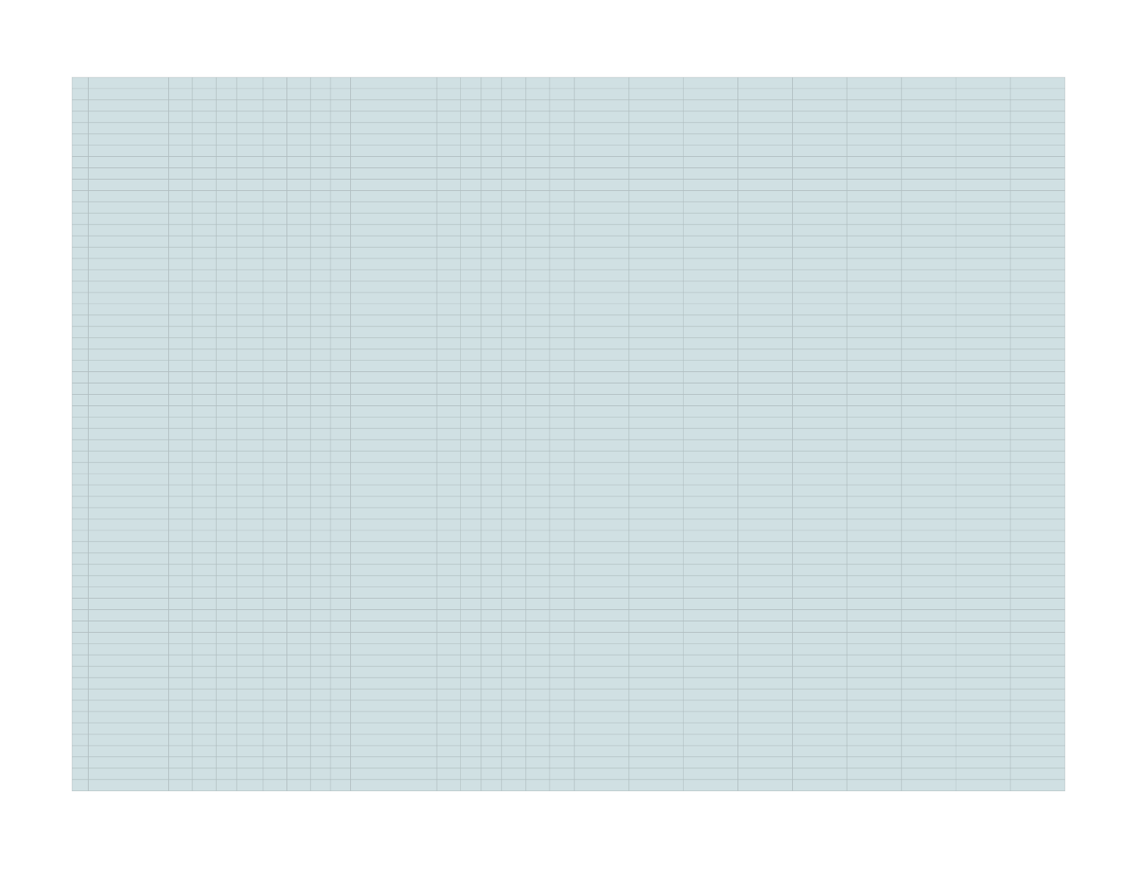|  | an di sebagai kecamatan dari Sebagai Kecamatan Sebagai Kecamatan Sebagai Kecamatan Sebagai Kecamatan Sebagai |                 |  |                         | ————————<br>————————                                                                                                 |  |  |  |  |  |
|--|--------------------------------------------------------------------------------------------------------------|-----------------|--|-------------------------|----------------------------------------------------------------------------------------------------------------------|--|--|--|--|--|
|  |                                                                                                              |                 |  |                         |                                                                                                                      |  |  |  |  |  |
|  |                                                                                                              |                 |  |                         |                                                                                                                      |  |  |  |  |  |
|  |                                                                                                              |                 |  |                         |                                                                                                                      |  |  |  |  |  |
|  |                                                                                                              |                 |  |                         |                                                                                                                      |  |  |  |  |  |
|  |                                                                                                              |                 |  |                         |                                                                                                                      |  |  |  |  |  |
|  |                                                                                                              |                 |  |                         |                                                                                                                      |  |  |  |  |  |
|  |                                                                                                              |                 |  |                         |                                                                                                                      |  |  |  |  |  |
|  |                                                                                                              |                 |  |                         |                                                                                                                      |  |  |  |  |  |
|  | <u> 1955 - Jan Barbara III, ma</u>                                                                           |                 |  |                         |                                                                                                                      |  |  |  |  |  |
|  |                                                                                                              |                 |  |                         |                                                                                                                      |  |  |  |  |  |
|  | ------------                                                                                                 |                 |  |                         |                                                                                                                      |  |  |  |  |  |
|  |                                                                                                              |                 |  |                         |                                                                                                                      |  |  |  |  |  |
|  |                                                                                                              |                 |  |                         |                                                                                                                      |  |  |  |  |  |
|  |                                                                                                              |                 |  |                         |                                                                                                                      |  |  |  |  |  |
|  |                                                                                                              |                 |  |                         |                                                                                                                      |  |  |  |  |  |
|  |                                                                                                              |                 |  |                         |                                                                                                                      |  |  |  |  |  |
|  |                                                                                                              |                 |  |                         |                                                                                                                      |  |  |  |  |  |
|  |                                                                                                              |                 |  |                         |                                                                                                                      |  |  |  |  |  |
|  |                                                                                                              |                 |  |                         |                                                                                                                      |  |  |  |  |  |
|  |                                                                                                              |                 |  |                         |                                                                                                                      |  |  |  |  |  |
|  |                                                                                                              |                 |  |                         |                                                                                                                      |  |  |  |  |  |
|  |                                                                                                              |                 |  |                         |                                                                                                                      |  |  |  |  |  |
|  |                                                                                                              |                 |  |                         |                                                                                                                      |  |  |  |  |  |
|  |                                                                                                              |                 |  |                         |                                                                                                                      |  |  |  |  |  |
|  |                                                                                                              |                 |  |                         |                                                                                                                      |  |  |  |  |  |
|  |                                                                                                              |                 |  |                         |                                                                                                                      |  |  |  |  |  |
|  | <u> 1999 – John Harry</u>                                                                                    |                 |  |                         |                                                                                                                      |  |  |  |  |  |
|  |                                                                                                              |                 |  |                         |                                                                                                                      |  |  |  |  |  |
|  |                                                                                                              |                 |  |                         |                                                                                                                      |  |  |  |  |  |
|  |                                                                                                              |                 |  |                         |                                                                                                                      |  |  |  |  |  |
|  |                                                                                                              |                 |  |                         |                                                                                                                      |  |  |  |  |  |
|  |                                                                                                              |                 |  | <u> a serie de la p</u> |                                                                                                                      |  |  |  |  |  |
|  |                                                                                                              |                 |  |                         |                                                                                                                      |  |  |  |  |  |
|  |                                                                                                              |                 |  |                         |                                                                                                                      |  |  |  |  |  |
|  |                                                                                                              |                 |  |                         |                                                                                                                      |  |  |  |  |  |
|  |                                                                                                              |                 |  |                         |                                                                                                                      |  |  |  |  |  |
|  | <u> Elektroni</u>                                                                                            |                 |  |                         |                                                                                                                      |  |  |  |  |  |
|  |                                                                                                              |                 |  |                         |                                                                                                                      |  |  |  |  |  |
|  |                                                                                                              |                 |  |                         |                                                                                                                      |  |  |  |  |  |
|  |                                                                                                              |                 |  |                         |                                                                                                                      |  |  |  |  |  |
|  |                                                                                                              |                 |  |                         |                                                                                                                      |  |  |  |  |  |
|  |                                                                                                              |                 |  |                         |                                                                                                                      |  |  |  |  |  |
|  |                                                                                                              |                 |  |                         |                                                                                                                      |  |  |  |  |  |
|  |                                                                                                              |                 |  |                         |                                                                                                                      |  |  |  |  |  |
|  |                                                                                                              |                 |  |                         |                                                                                                                      |  |  |  |  |  |
|  |                                                                                                              |                 |  |                         |                                                                                                                      |  |  |  |  |  |
|  |                                                                                                              |                 |  |                         |                                                                                                                      |  |  |  |  |  |
|  |                                                                                                              |                 |  |                         |                                                                                                                      |  |  |  |  |  |
|  |                                                                                                              |                 |  |                         |                                                                                                                      |  |  |  |  |  |
|  |                                                                                                              |                 |  |                         | ar de la segunda                                                                                                     |  |  |  |  |  |
|  |                                                                                                              |                 |  |                         |                                                                                                                      |  |  |  |  |  |
|  |                                                                                                              |                 |  |                         |                                                                                                                      |  |  |  |  |  |
|  |                                                                                                              |                 |  |                         | <u> La Carlo de la Ca</u>                                                                                            |  |  |  |  |  |
|  |                                                                                                              |                 |  |                         |                                                                                                                      |  |  |  |  |  |
|  |                                                                                                              |                 |  |                         |                                                                                                                      |  |  |  |  |  |
|  | <del>1999 - Jacques II, andreas and service of the U</del>                                                   |                 |  |                         | ____________________                                                                                                 |  |  |  |  |  |
|  |                                                                                                              |                 |  |                         |                                                                                                                      |  |  |  |  |  |
|  |                                                                                                              | <u>talah da</u> |  |                         | <u>e de la partida de la partida de la partida de la partida de la partida de la partida de la partida de la par</u> |  |  |  |  |  |
|  |                                                                                                              |                 |  |                         |                                                                                                                      |  |  |  |  |  |
|  |                                                                                                              |                 |  |                         |                                                                                                                      |  |  |  |  |  |
|  |                                                                                                              |                 |  |                         |                                                                                                                      |  |  |  |  |  |
|  |                                                                                                              |                 |  |                         |                                                                                                                      |  |  |  |  |  |
|  |                                                                                                              |                 |  |                         |                                                                                                                      |  |  |  |  |  |
|  |                                                                                                              |                 |  |                         |                                                                                                                      |  |  |  |  |  |
|  |                                                                                                              |                 |  |                         |                                                                                                                      |  |  |  |  |  |
|  |                                                                                                              |                 |  |                         |                                                                                                                      |  |  |  |  |  |
|  |                                                                                                              |                 |  |                         |                                                                                                                      |  |  |  |  |  |
|  |                                                                                                              |                 |  |                         |                                                                                                                      |  |  |  |  |  |
|  |                                                                                                              |                 |  |                         |                                                                                                                      |  |  |  |  |  |
|  |                                                                                                              |                 |  |                         |                                                                                                                      |  |  |  |  |  |
|  |                                                                                                              |                 |  |                         |                                                                                                                      |  |  |  |  |  |
|  |                                                                                                              |                 |  |                         |                                                                                                                      |  |  |  |  |  |
|  |                                                                                                              |                 |  |                         |                                                                                                                      |  |  |  |  |  |
|  |                                                                                                              |                 |  |                         |                                                                                                                      |  |  |  |  |  |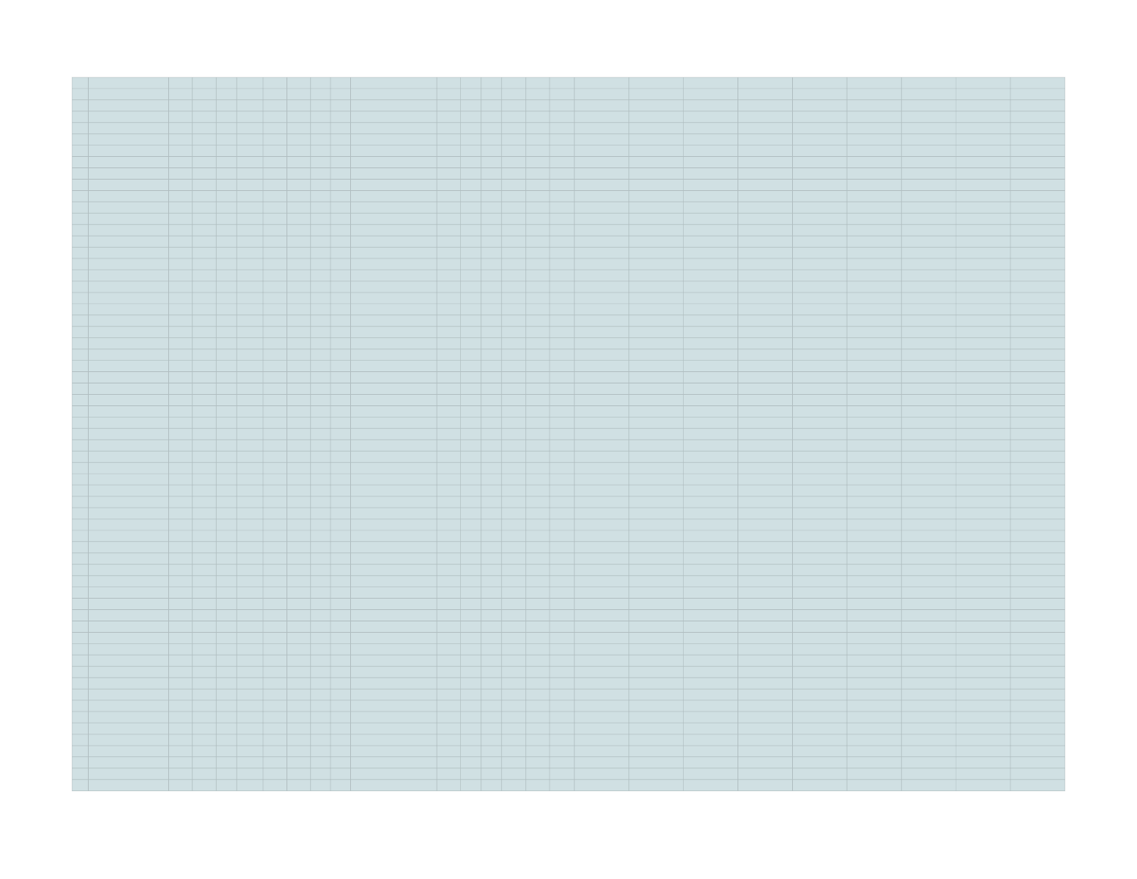|  | an di sebagai kecamatan dari Sebagai Kecamatan Sebagai Kecamatan Sebagai Kecamatan Sebagai Kecamatan Sebagai |                 |  |                         | ————————<br>————————                                                                                                 |  |  |  |  |  |
|--|--------------------------------------------------------------------------------------------------------------|-----------------|--|-------------------------|----------------------------------------------------------------------------------------------------------------------|--|--|--|--|--|
|  |                                                                                                              |                 |  |                         |                                                                                                                      |  |  |  |  |  |
|  |                                                                                                              |                 |  |                         |                                                                                                                      |  |  |  |  |  |
|  |                                                                                                              |                 |  |                         |                                                                                                                      |  |  |  |  |  |
|  |                                                                                                              |                 |  |                         |                                                                                                                      |  |  |  |  |  |
|  |                                                                                                              |                 |  |                         |                                                                                                                      |  |  |  |  |  |
|  |                                                                                                              |                 |  |                         |                                                                                                                      |  |  |  |  |  |
|  |                                                                                                              |                 |  |                         |                                                                                                                      |  |  |  |  |  |
|  |                                                                                                              |                 |  |                         |                                                                                                                      |  |  |  |  |  |
|  | <u> 1955 - Jan Barbara III, ma</u>                                                                           |                 |  |                         |                                                                                                                      |  |  |  |  |  |
|  |                                                                                                              |                 |  |                         |                                                                                                                      |  |  |  |  |  |
|  | ------------                                                                                                 |                 |  |                         |                                                                                                                      |  |  |  |  |  |
|  |                                                                                                              |                 |  |                         |                                                                                                                      |  |  |  |  |  |
|  |                                                                                                              |                 |  |                         |                                                                                                                      |  |  |  |  |  |
|  |                                                                                                              |                 |  |                         |                                                                                                                      |  |  |  |  |  |
|  |                                                                                                              |                 |  |                         |                                                                                                                      |  |  |  |  |  |
|  |                                                                                                              |                 |  |                         |                                                                                                                      |  |  |  |  |  |
|  |                                                                                                              |                 |  |                         |                                                                                                                      |  |  |  |  |  |
|  |                                                                                                              |                 |  |                         |                                                                                                                      |  |  |  |  |  |
|  |                                                                                                              |                 |  |                         |                                                                                                                      |  |  |  |  |  |
|  |                                                                                                              |                 |  |                         |                                                                                                                      |  |  |  |  |  |
|  |                                                                                                              |                 |  |                         |                                                                                                                      |  |  |  |  |  |
|  |                                                                                                              |                 |  |                         |                                                                                                                      |  |  |  |  |  |
|  |                                                                                                              |                 |  |                         |                                                                                                                      |  |  |  |  |  |
|  |                                                                                                              |                 |  |                         |                                                                                                                      |  |  |  |  |  |
|  |                                                                                                              |                 |  |                         |                                                                                                                      |  |  |  |  |  |
|  |                                                                                                              |                 |  |                         |                                                                                                                      |  |  |  |  |  |
|  | <u> 1999 – John Harry</u>                                                                                    |                 |  |                         |                                                                                                                      |  |  |  |  |  |
|  |                                                                                                              |                 |  |                         |                                                                                                                      |  |  |  |  |  |
|  |                                                                                                              |                 |  |                         |                                                                                                                      |  |  |  |  |  |
|  |                                                                                                              |                 |  |                         |                                                                                                                      |  |  |  |  |  |
|  |                                                                                                              |                 |  |                         |                                                                                                                      |  |  |  |  |  |
|  |                                                                                                              |                 |  | <u> a serie de la p</u> |                                                                                                                      |  |  |  |  |  |
|  |                                                                                                              |                 |  |                         |                                                                                                                      |  |  |  |  |  |
|  |                                                                                                              |                 |  |                         |                                                                                                                      |  |  |  |  |  |
|  |                                                                                                              |                 |  |                         |                                                                                                                      |  |  |  |  |  |
|  |                                                                                                              |                 |  |                         |                                                                                                                      |  |  |  |  |  |
|  | <u> Elektroni</u>                                                                                            |                 |  |                         |                                                                                                                      |  |  |  |  |  |
|  |                                                                                                              |                 |  |                         |                                                                                                                      |  |  |  |  |  |
|  |                                                                                                              |                 |  |                         |                                                                                                                      |  |  |  |  |  |
|  |                                                                                                              |                 |  |                         |                                                                                                                      |  |  |  |  |  |
|  |                                                                                                              |                 |  |                         |                                                                                                                      |  |  |  |  |  |
|  |                                                                                                              |                 |  |                         |                                                                                                                      |  |  |  |  |  |
|  |                                                                                                              |                 |  |                         |                                                                                                                      |  |  |  |  |  |
|  |                                                                                                              |                 |  |                         |                                                                                                                      |  |  |  |  |  |
|  |                                                                                                              |                 |  |                         |                                                                                                                      |  |  |  |  |  |
|  |                                                                                                              |                 |  |                         |                                                                                                                      |  |  |  |  |  |
|  |                                                                                                              |                 |  |                         |                                                                                                                      |  |  |  |  |  |
|  |                                                                                                              |                 |  |                         |                                                                                                                      |  |  |  |  |  |
|  |                                                                                                              |                 |  |                         |                                                                                                                      |  |  |  |  |  |
|  |                                                                                                              |                 |  |                         | ar de la segunda                                                                                                     |  |  |  |  |  |
|  |                                                                                                              |                 |  |                         |                                                                                                                      |  |  |  |  |  |
|  |                                                                                                              |                 |  |                         |                                                                                                                      |  |  |  |  |  |
|  |                                                                                                              |                 |  |                         | <u> La Carlo de la Ca</u>                                                                                            |  |  |  |  |  |
|  |                                                                                                              |                 |  |                         |                                                                                                                      |  |  |  |  |  |
|  |                                                                                                              |                 |  |                         |                                                                                                                      |  |  |  |  |  |
|  | <del>1999 - Jacques II, andreas and service of the U</del>                                                   |                 |  |                         | ____________________                                                                                                 |  |  |  |  |  |
|  |                                                                                                              |                 |  |                         |                                                                                                                      |  |  |  |  |  |
|  |                                                                                                              | <u>talah da</u> |  |                         | <u>e de la partida de la partida de la partida de la partida de la partida de la partida de la partida de la par</u> |  |  |  |  |  |
|  |                                                                                                              |                 |  |                         |                                                                                                                      |  |  |  |  |  |
|  |                                                                                                              |                 |  |                         |                                                                                                                      |  |  |  |  |  |
|  |                                                                                                              |                 |  |                         |                                                                                                                      |  |  |  |  |  |
|  |                                                                                                              |                 |  |                         |                                                                                                                      |  |  |  |  |  |
|  |                                                                                                              |                 |  |                         |                                                                                                                      |  |  |  |  |  |
|  |                                                                                                              |                 |  |                         |                                                                                                                      |  |  |  |  |  |
|  |                                                                                                              |                 |  |                         |                                                                                                                      |  |  |  |  |  |
|  |                                                                                                              |                 |  |                         |                                                                                                                      |  |  |  |  |  |
|  |                                                                                                              |                 |  |                         |                                                                                                                      |  |  |  |  |  |
|  |                                                                                                              |                 |  |                         |                                                                                                                      |  |  |  |  |  |
|  |                                                                                                              |                 |  |                         |                                                                                                                      |  |  |  |  |  |
|  |                                                                                                              |                 |  |                         |                                                                                                                      |  |  |  |  |  |
|  |                                                                                                              |                 |  |                         |                                                                                                                      |  |  |  |  |  |
|  |                                                                                                              |                 |  |                         |                                                                                                                      |  |  |  |  |  |
|  |                                                                                                              |                 |  |                         |                                                                                                                      |  |  |  |  |  |
|  |                                                                                                              |                 |  |                         |                                                                                                                      |  |  |  |  |  |